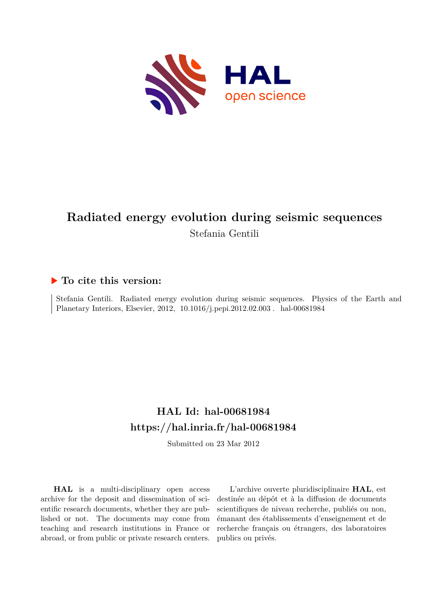

# **Radiated energy evolution during seismic sequences** Stefania Gentili

## **To cite this version:**

Stefania Gentili. Radiated energy evolution during seismic sequences. Physics of the Earth and Planetary Interiors, Elsevier, 2012, 10.1016/j.pepi.2012.02.003. hal-00681984

# **HAL Id: hal-00681984 <https://hal.inria.fr/hal-00681984>**

Submitted on 23 Mar 2012

**HAL** is a multi-disciplinary open access archive for the deposit and dissemination of scientific research documents, whether they are published or not. The documents may come from teaching and research institutions in France or abroad, or from public or private research centers.

L'archive ouverte pluridisciplinaire **HAL**, est destinée au dépôt et à la diffusion de documents scientifiques de niveau recherche, publiés ou non, émanant des établissements d'enseignement et de recherche français ou étrangers, des laboratoires publics ou privés.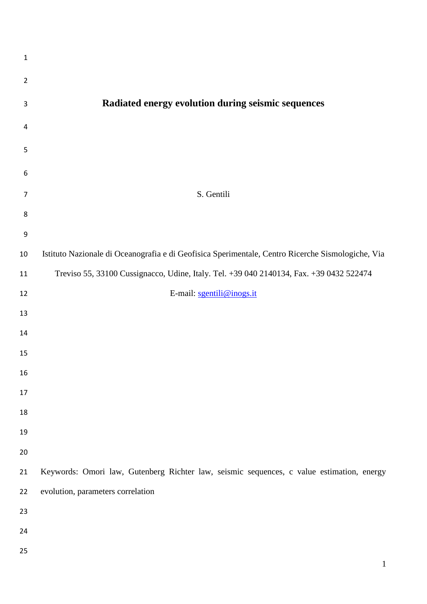| $\mathbf 1$    |                                                                                                   |
|----------------|---------------------------------------------------------------------------------------------------|
| $\overline{2}$ |                                                                                                   |
| 3              | Radiated energy evolution during seismic sequences                                                |
| 4              |                                                                                                   |
| 5              |                                                                                                   |
| 6              |                                                                                                   |
| $\overline{7}$ | S. Gentili                                                                                        |
| 8              |                                                                                                   |
| 9              |                                                                                                   |
| 10             | Istituto Nazionale di Oceanografia e di Geofisica Sperimentale, Centro Ricerche Sismologiche, Via |
| 11             | Treviso 55, 33100 Cussignacco, Udine, Italy. Tel. +39 040 2140134, Fax. +39 0432 522474           |
| 12             | E-mail: sgentili@inogs.it                                                                         |
| 13             |                                                                                                   |
| 14             |                                                                                                   |
| 15             |                                                                                                   |
| 16             |                                                                                                   |
| 17             |                                                                                                   |
|                |                                                                                                   |
| 18             |                                                                                                   |
| 19             |                                                                                                   |
| 20             |                                                                                                   |
| 21             | Keywords: Omori law, Gutenberg Richter law, seismic sequences, c value estimation, energy         |
| 22             | evolution, parameters correlation                                                                 |
| 23             |                                                                                                   |
| 24             |                                                                                                   |
| 25             |                                                                                                   |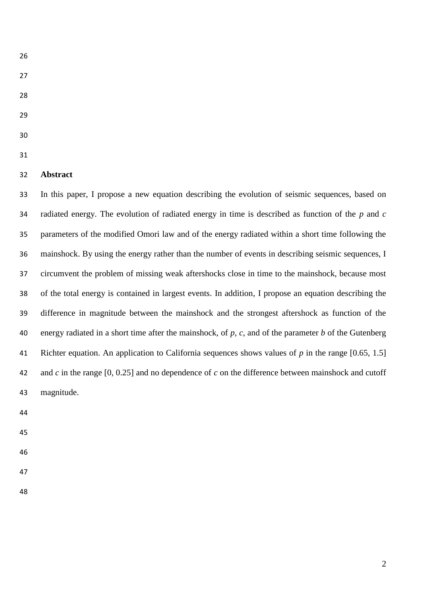- 
- 
- 
- 
- 
- 

## **Abstract**

 In this paper, I propose a new equation describing the evolution of seismic sequences, based on radiated energy. The evolution of radiated energy in time is described as function of the *p* and *c* parameters of the modified Omori law and of the energy radiated within a short time following the mainshock. By using the energy rather than the number of events in describing seismic sequences, I circumvent the problem of missing weak aftershocks close in time to the mainshock, because most of the total energy is contained in largest events. In addition, I propose an equation describing the difference in magnitude between the mainshock and the strongest aftershock as function of the energy radiated in a short time after the mainshock, of *p*, *c*, and of the parameter *b* of the Gutenberg Richter equation. An application to California sequences shows values of *p* in the range [0.65, 1.5] and *c* in the range [0, 0.25] and no dependence of *c* on the difference between mainshock and cutoff magnitude.

- 
- 
- 
- 
-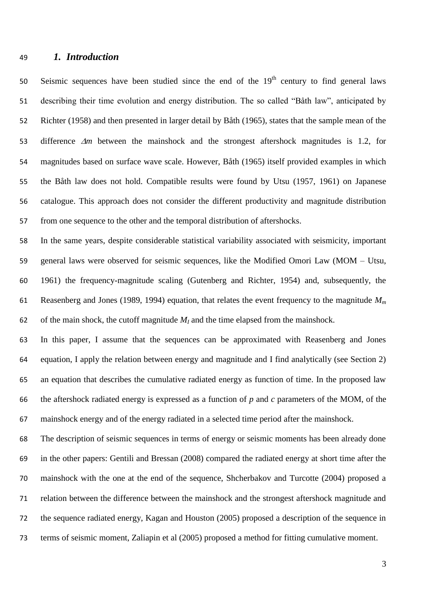## *1. Introduction*

Seismic sequences have been studied since the end of the  $19<sup>th</sup>$  century to find general laws describing their time evolution and energy distribution. The so called "Båth law", anticipated by Richter (1958) and then presented in larger detail by Båth (1965), states that the sample mean of the 53 difference  $\Delta m$  between the mainshock and the strongest aftershock magnitudes is 1.2, for magnitudes based on surface wave scale. However, Båth (1965) itself provided examples in which the Båth law does not hold. Compatible results were found by Utsu (1957, 1961) on Japanese catalogue. This approach does not consider the different productivity and magnitude distribution from one sequence to the other and the temporal distribution of aftershocks.

 In the same years, despite considerable statistical variability associated with seismicity, important general laws were observed for seismic sequences, like the Modified Omori Law (MOM – Utsu, 1961) the frequency-magnitude scaling (Gutenberg and Richter, 1954) and, subsequently, the Reasenberg and Jones (1989, 1994) equation, that relates the event frequency to the magnitude *M<sup>m</sup>* 62 of the main shock, the cutoff magnitude  $M_I$  and the time elapsed from the mainshock.

 In this paper, I assume that the sequences can be approximated with Reasenberg and Jones equation, I apply the relation between energy and magnitude and I find analytically (see Section 2) an equation that describes the cumulative radiated energy as function of time. In the proposed law the aftershock radiated energy is expressed as a function of *p* and *c* parameters of the MOM, of the mainshock energy and of the energy radiated in a selected time period after the mainshock.

 The description of seismic sequences in terms of energy or seismic moments has been already done in the other papers: Gentili and Bressan (2008) compared the radiated energy at short time after the mainshock with the one at the end of the sequence, Shcherbakov and Turcotte (2004) proposed a relation between the difference between the mainshock and the strongest aftershock magnitude and the sequence radiated energy, Kagan and Houston (2005) proposed a description of the sequence in terms of seismic moment, Zaliapin et al (2005) proposed a method for fitting cumulative moment.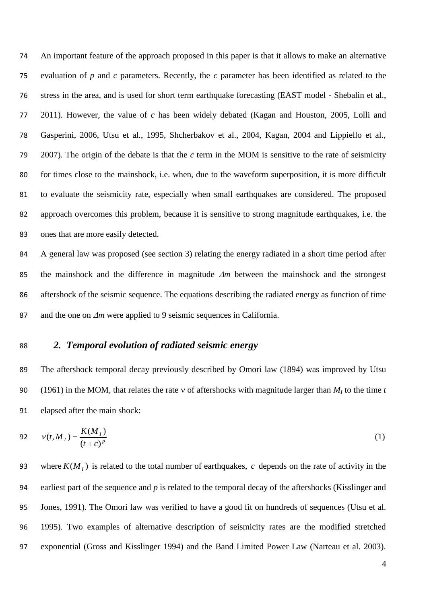An important feature of the approach proposed in this paper is that it allows to make an alternative evaluation of *p* and *c* parameters. Recently, the *c* parameter has been identified as related to the stress in the area, and is used for short term earthquake forecasting (EAST model - Shebalin et al., 2011). However, the value of *c* has been widely debated (Kagan and Houston, 2005, Lolli and Gasperini, 2006, Utsu et al., 1995, Shcherbakov et al., 2004, Kagan, 2004 and Lippiello et al., 2007). The origin of the debate is that the *c* term in the MOM is sensitive to the rate of seismicity for times close to the mainshock, i.e. when, due to the waveform superposition, it is more difficult to evaluate the seismicity rate, especially when small earthquakes are considered. The proposed approach overcomes this problem, because it is sensitive to strong magnitude earthquakes, i.e. the ones that are more easily detected.

84 A general law was proposed (see section 3) relating the energy radiated in a short time period after 85 the mainshock and the difference in magnitude  $\Delta m$  between the mainshock and the strongest 86 aftershock of the seismic sequence. The equations describing the radiated energy as function of time 87 and the one on  $\Delta m$  were applied to 9 seismic sequences in California.

## 88 *2. Temporal evolution of radiated seismic energy*

89 The aftershock temporal decay previously described by Omori law (1894) was improved by Utsu 90 (1961) in the MOM, that relates the rate v of aftershocks with magnitude larger than  $M_I$  to the time *t* 91 elapsed after the main shock:

92 
$$
v(t, M_1) = \frac{K(M_1)}{(t + c)^p}
$$
 (1)

93 where  $K(M<sub>I</sub>)$  is related to the total number of earthquakes, c depends on the rate of activity in the earliest part of the sequence and *p* is related to the temporal decay of the aftershocks (Kisslinger and Jones, 1991). The Omori law was verified to have a good fit on hundreds of sequences (Utsu et al. 1995). Two examples of alternative description of seismicity rates are the modified stretched exponential (Gross and Kisslinger 1994) and the Band Limited Power Law (Narteau et al. 2003).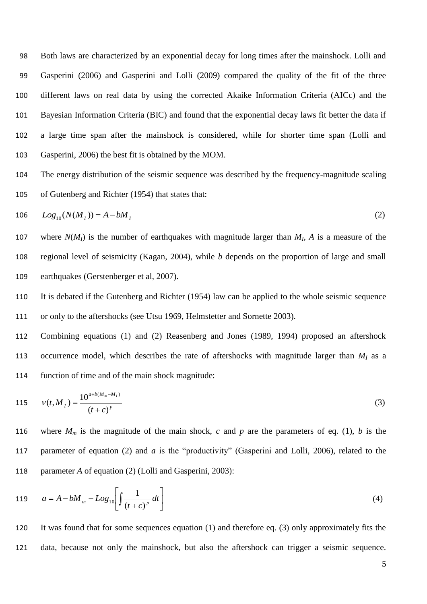Both laws are characterized by an exponential decay for long times after the mainshock. Lolli and Gasperini (2006) and Gasperini and Lolli (2009) compared the quality of the fit of the three different laws on real data by using the corrected Akaike Information Criteria (AICc) and the Bayesian Information Criteria (BIC) and found that the exponential decay laws fit better the data if a large time span after the mainshock is considered, while for shorter time span (Lolli and Gasperini, 2006) the best fit is obtained by the MOM.

104 The energy distribution of the seismic sequence was described by the frequency-magnitude scaling 105 of Gutenberg and Richter (1954) that states that:

106 
$$
Log_{10}(N(M_I)) = A - bM_I
$$
 (2)

107 where  $N(M_I)$  is the number of earthquakes with magnitude larger than  $M_I$ ,  $\dot{A}$  is a measure of the 108 regional level of seismicity (Kagan, 2004), while *b* depends on the proportion of large and small 109 earthquakes (Gerstenberger et al, 2007).

110 It is debated if the Gutenberg and Richter (1954) law can be applied to the whole seismic sequence 111 or only to the aftershocks (see Utsu 1969, Helmstetter and Sornette 2003).

112 Combining equations (1) and (2) Reasenberg and Jones (1989, 1994) proposed an aftershock 113 occurrence model, which describes the rate of aftershocks with magnitude larger than  $M<sub>I</sub>$  as a 114 function of time and of the main shock magnitude:

115 
$$
v(t, M_I) = \frac{10^{a+b(M_m - M_I)}}{(t+c)^p}
$$
 (3)

116 where  $M_m$  is the magnitude of the main shock, *c* and *p* are the parameters of eq. (1), *b* is the 117 parameter of equation (2) and *a* is the "productivity" (Gasperini and Lolli, 2006), related to the 118 parameter *A* of equation (2) (Lolli and Gasperini, 2003):

119 
$$
a = A - bM_m - Log_{10} \left[ \int \frac{1}{(t+c)^p} dt \right]
$$
 (4)

120 It was found that for some sequences equation (1) and therefore eq. (3) only approximately fits the 121 data, because not only the mainshock, but also the aftershock can trigger a seismic sequence.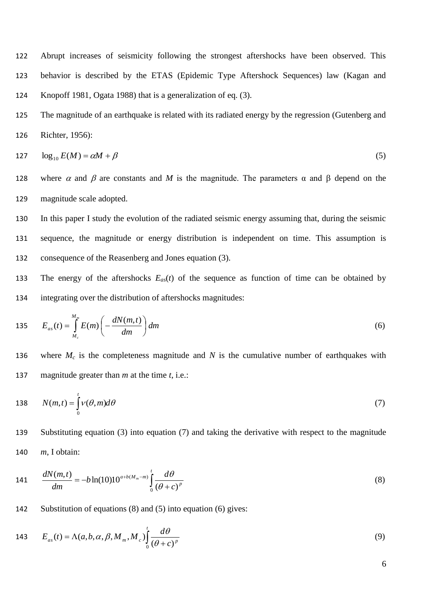122 Abrupt increases of seismicity following the strongest aftershocks have been observed. This 123 behavior is described by the ETAS (Epidemic Type Aftershock Sequences) law (Kagan and 124 Knopoff 1981, Ogata 1988) that is a generalization of eq. (3).

125 The magnitude of an earthquake is related with its radiated energy by the regression (Gutenberg and 126 Richter, 1956):

$$
127 \qquad \log_{10} E(M) = \alpha M + \beta \tag{5}
$$

- 128 where  $\alpha$  and  $\beta$  are constants and M is the magnitude. The parameters  $\alpha$  and  $\beta$  depend on the 129 magnitude scale adopted.
- 130 In this paper I study the evolution of the radiated seismic energy assuming that, during the seismic 131 sequence, the magnitude or energy distribution is independent on time. This assumption is 132 consequence of the Reasenberg and Jones equation (3).
- 133 The energy of the aftershocks *Eas*(*t*) of the sequence as function of time can be obtained by 134 integrating over the distribution of aftershocks magnitudes:

$$
135 \t E_{as}(t) = \int_{M_c}^{M_m} E(m) \left( -\frac{dN(m,t)}{dm} \right) dm \tag{6}
$$

136 where  $M_c$  is the completeness magnitude and  $N$  is the cumulative number of earthquakes with 137 magnitude greater than *m* at the time *t*, i.e.:

138 
$$
N(m,t) = \int_{0}^{t} v(\theta, m)d\theta
$$
 (7)

139 Substituting equation (3) into equation (7) and taking the derivative with respect to the magnitude 140 *m*, I obtain:

141 
$$
\frac{dN(m,t)}{dm} = -b\ln(10)10^{a+b(M_m-m)}\int_{0}^{t} \frac{d\theta}{(\theta+c)^p}
$$
(8)

142 Substitution of equations (8) and (5) into equation (6) gives:

143 
$$
E_{as}(t) = \Lambda(a, b, \alpha, \beta, M_m, M_c) \int_0^t \frac{d\theta}{(\theta + c)^p}
$$
(9)

6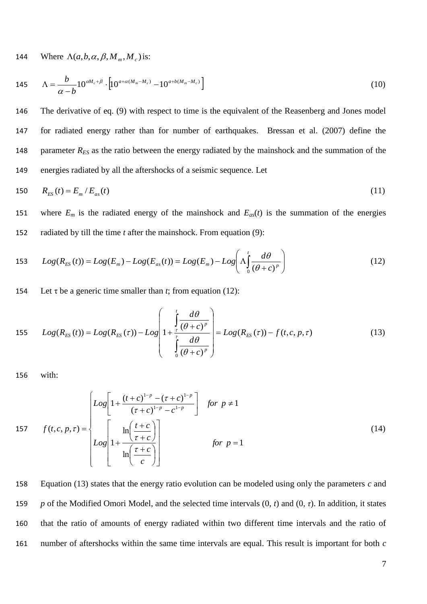144 Where  $\Lambda(a, b, \alpha, \beta, M_m, M_c)$  is:

145 
$$
\Lambda = \frac{b}{\alpha - b} 10^{\alpha M_c + \beta} \cdot \left[ 10^{a + \alpha (M_m - M_c)} - 10^{a + b(M_m - M_c)} \right]
$$
(10)

 The derivative of eq. (9) with respect to time is the equivalent of the Reasenberg and Jones model for radiated energy rather than for number of earthquakes. Bressan et al. (2007) define the 148 parameter  $R_{ES}$  as the ratio between the energy radiated by the mainshock and the summation of the energies radiated by all the aftershocks of a seismic sequence. Let

150 
$$
R_{ES}(t) = E_m / E_{as}(t)
$$
 (11)

151 where  $E_m$  is the radiated energy of the mainshock and  $E_{as}(t)$  is the summation of the energies 152 radiated by till the time *t* after the mainshock. From equation (9):

153 
$$
Log(R_{ES}(t)) = Log(E_m) - Log(E_{as}(t)) = Log(E_m) - Log\left(\Lambda \int_0^t \frac{d\theta}{(\theta + c)^p}\right)
$$
(12)

154 Let  $\tau$  be a generic time smaller than *t*; from equation (12):

155 
$$
Log(R_{ES}(t)) = Log(R_{ES}(\tau)) - Log\left(1 + \frac{\int_{\tau}^{t} \frac{d\theta}{(\theta + c)^p}}{\int_{0}^{\tau} \frac{d\theta}{(\theta + c)^p}}\right) = Log(R_{ES}(\tau)) - f(t, c, p, \tau)
$$
 (13)

156 with:

$$
157 \qquad f(t,c,p,\tau) = \begin{cases} Log \left[ 1 + \frac{(t+c)^{1-p} - (\tau + c)^{1-p}}{(\tau + c)^{1-p} - c^{1-p}} \right] & \text{for } p \neq 1\\ Log \left[ 1 + \frac{\ln\left(\frac{t+c}{\tau + c}\right)}{\ln\left(\frac{\tau + c}{c}\right)} \right] & \text{for } p = 1 \end{cases}
$$
(14)

 Equation (13) states that the energy ratio evolution can be modeled using only the parameters *c* and *p* of the Modified Omori Model, and the selected time intervals (0, *t*) and (0, *τ*). In addition, it states that the ratio of amounts of energy radiated within two different time intervals and the ratio of number of aftershocks within the same time intervals are equal. This result is important for both *c*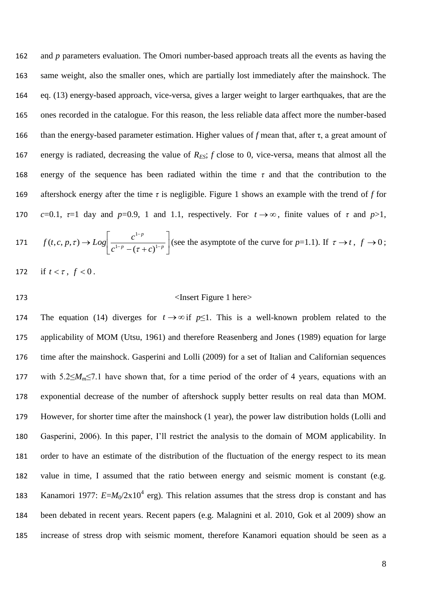162 and *p* parameters evaluation. The Omori number-based approach treats all the events as having the same weight, also the smaller ones, which are partially lost immediately after the mainshock. The eq. (13) energy-based approach, vice-versa, gives a larger weight to larger earthquakes, that are the ones recorded in the catalogue. For this reason, the less reliable data affect more the number-based than the energy-based parameter estimation. Higher values of *f* mean that, after τ, a great amount of 167 energy is radiated, decreasing the value of  $R_{ES}$ ;  $f$  close to 0, vice-versa, means that almost all the energy of the sequence has been radiated within the time *τ* and that the contribution to the aftershock energy after the time *τ* is negligible. Figure 1 shows an example with the trend of *f* for *c*=0.1,  $\tau$ =1 day and *p*=0.9, 1 and 1.1, respectively. For  $t \to \infty$ , finite values of  $\tau$  and *p*>1,

171 
$$
f(t, c, p, \tau) \to Log \left[\frac{c^{1-p}}{c^{1-p} - (\tau + c)^{1-p}}\right]
$$
 (see the asymptote of the curve for  $p=1.1$ ). If  $\tau \to t$ ,  $f \to 0$ ;

172 *if*  $t < \tau$ ,  $f < 0$ .

#### 173 <Insert Figure 1 here>

174 The equation (14) diverges for  $t \rightarrow \infty$  if  $p \le 1$ . This is a well-known problem related to the applicability of MOM (Utsu, 1961) and therefore Reasenberg and Jones (1989) equation for large time after the mainshock. Gasperini and Lolli (2009) for a set of Italian and Californian sequences with 5.2≤*Mm*≤7.1 have shown that, for a time period of the order of 4 years, equations with an exponential decrease of the number of aftershock supply better results on real data than MOM. However, for shorter time after the mainshock (1 year), the power law distribution holds (Lolli and Gasperini, 2006). In this paper, I'll restrict the analysis to the domain of MOM applicability. In order to have an estimate of the distribution of the fluctuation of the energy respect to its mean value in time, I assumed that the ratio between energy and seismic moment is constant (e.g. 183 Kanamori 1977:  $E=M_0/2x10^4$  erg). This relation assumes that the stress drop is constant and has been debated in recent years. Recent papers (e.g. Malagnini et al. 2010, Gok et al 2009) show an increase of stress drop with seismic moment, therefore Kanamori equation should be seen as a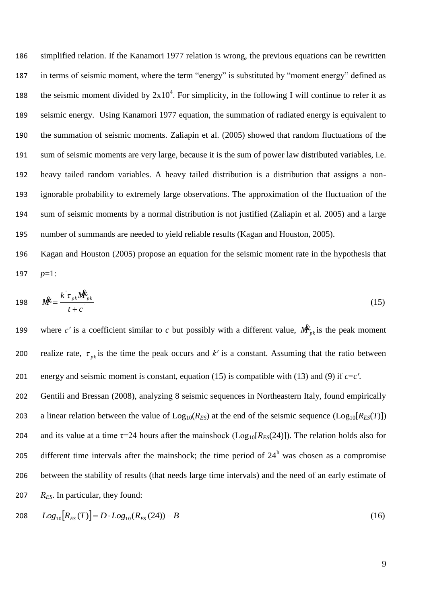simplified relation. If the Kanamori 1977 relation is wrong, the previous equations can be rewritten in terms of seismic moment, where the term "energy" is substituted by "moment energy" defined as 188 the seismic moment divided by  $2x10^4$ . For simplicity, in the following I will continue to refer it as seismic energy. Using Kanamori 1977 equation, the summation of radiated energy is equivalent to the summation of seismic moments. Zaliapin et al. (2005) showed that random fluctuations of the sum of seismic moments are very large, because it is the sum of power law distributed variables, i.e. heavy tailed random variables. A heavy tailed distribution is a distribution that assigns a non- ignorable probability to extremely large observations. The approximation of the fluctuation of the sum of seismic moments by a normal distribution is not justified (Zaliapin et al. 2005) and a large number of summands are needed to yield reliable results (Kagan and Houston, 2005).

196 Kagan and Houston (2005) propose an equation for the seismic moment rate in the hypothesis that 197 *p*=1:

$$
198 \qquad M^2 = \frac{k^{\dagger} \tau_{pk} M_{pk}^2}{t + c^{\dagger}} \tag{15}
$$

where *c'* is a coefficient similar to *c* but possibly with a different value,  $\mathbf{M}_{pk}^k$  is the peak moment 199 realize rate,  $\tau_{pk}$  is the time the peak occurs and k' is a constant. Assuming that the ratio between 200 201 energy and seismic moment is constant, equation (15) is compatible with (13) and (9) if *c*=*c′*.

202 Gentili and Bressan (2008), analyzing 8 seismic sequences in Northeastern Italy, found empirically 203 a linear relation between the value of  $\text{Log}_{10}(R_{ES})$  at the end of the seismic sequence  $(\text{Log}_{10}[R_{ES}(T)])$ 204 and its value at a time  $\tau$ =24 hours after the mainshock (Log<sub>10</sub>[ $R_{ES}(24)$ ]). The relation holds also for 205 different time intervals after the mainshock; the time period of  $24<sup>h</sup>$  was chosen as a compromise 206 between the stability of results (that needs large time intervals) and the need of an early estimate of 207 *RES*. In particular, they found:

208 
$$
Log_{10}[R_{ES}(T)] = D \cdot Log_{10}(R_{ES}(24)) - B
$$
 (16)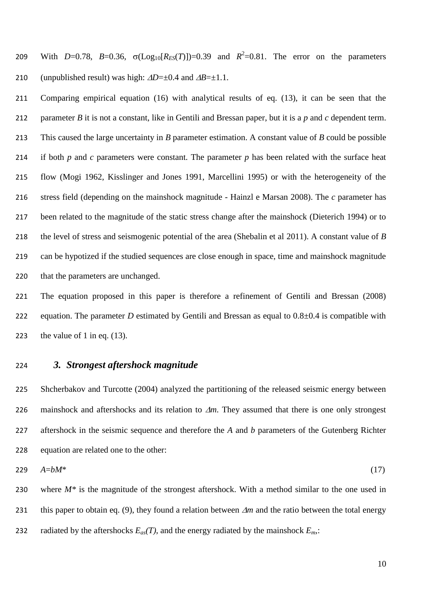209 With *D*=0.78, *B*=0.36,  $\sigma(Log_{10}[R_{ES}(T)])$ =0.39 and  $R^2$ =0.81. The error on the parameters 210 (unpublished result) was high:  $\Delta D = \pm 0.4$  and  $\Delta B = \pm 1.1$ .

 Comparing empirical equation (16) with analytical results of eq. (13), it can be seen that the parameter *B* it is not a constant, like in Gentili and Bressan paper, but it is a *p* and *c* dependent term. This caused the large uncertainty in *B* parameter estimation. A constant value of *B* could be possible if both *p* and *c* parameters were constant. The parameter *p* has been related with the surface heat flow (Mogi 1962, Kisslinger and Jones 1991, Marcellini 1995) or with the heterogeneity of the stress field (depending on the mainshock magnitude - Hainzl e Marsan 2008). The *c* parameter has been related to the magnitude of the static stress change after the mainshock (Dieterich 1994) or to the level of stress and seismogenic potential of the area (Shebalin et al 2011). A constant value of *B* can be hypotized if the studied sequences are close enough in space, time and mainshock magnitude that the parameters are unchanged.

 The equation proposed in this paper is therefore a refinement of Gentili and Bressan (2008) 222 equation. The parameter *D* estimated by Gentili and Bressan as equal to  $0.8\pm0.4$  is compatible with 223 the value of 1 in eq.  $(13)$ .

## *3. Strongest aftershock magnitude*

 Shcherbakov and Turcotte (2004) analyzed the partitioning of the released seismic energy between 226 mainshock and aftershocks and its relation to  $\Delta m$ . They assumed that there is one only strongest aftershock in the seismic sequence and therefore the *A* and *b* parameters of the Gutenberg Richter equation are related one to the other:

$$
229 \quad A=bM^* \tag{17}
$$

 where *M\** is the magnitude of the strongest aftershock. With a method similar to the one used in 231 this paper to obtain eq. (9), they found a relation between  $\Delta m$  and the ratio between the total energy 232 radiated by the aftershocks  $E_{as}(T)$ , and the energy radiated by the mainshock  $E_m$ .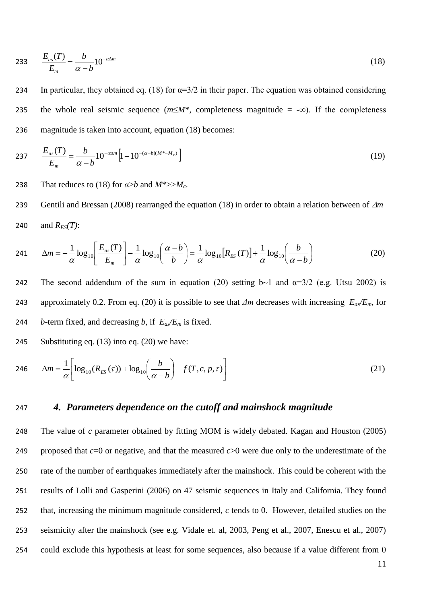$$
233 \qquad \frac{E_{as}(T)}{E_m} = \frac{b}{\alpha - b} 10^{-\alpha \Delta m} \tag{18}
$$

234 In particular, they obtained eq. (18) for  $\alpha=3/2$  in their paper. The equation was obtained considering 235 the whole real seismic sequence (*m*≤*M*\*, completeness magnitude = -∞). If the completeness 236 magnitude is taken into account, equation (18) becomes:

237 
$$
\frac{E_{as}(T)}{E_m} = \frac{b}{\alpha - b} 10^{-\alpha \Delta m} \Big[ 1 - 10^{-(\alpha - b)(M^* - M_c)} \Big]
$$
(19)

238 That reduces to (18) for  $a > b$  and  $M^* >> M_c$ .

239 Gentili and Bressan (2008) rearranged the equation (18) in order to obtain a relation between of  $\Delta m$ 240 and  $R_{FS}(T)$ :

241 
$$
\Delta m = -\frac{1}{\alpha} \log_{10} \left[ \frac{E_{as}(T)}{E_m} \right] - \frac{1}{\alpha} \log_{10} \left( \frac{\alpha - b}{b} \right) = \frac{1}{\alpha} \log_{10} \left[ R_{ES}(T) \right] + \frac{1}{\alpha} \log_{10} \left( \frac{b}{\alpha - b} \right)
$$
(20)

242 The second addendum of the sum in equation (20) setting  $b\sim 1$  and  $\alpha = 3/2$  (e.g. Utsu 2002) is 243 approximately 0.2. From eq. (20) it is possible to see that *Δm* decreases with increasing *Eas/Em*, for 244 *b*-term fixed, and decreasing *b*, if  $E_a E_m$  is fixed.

245 Substituting eq. (13) into eq. (20) we have:

246 
$$
\Delta m = \frac{1}{\alpha} \left[ \log_{10}(R_{ES}(\tau)) + \log_{10}\left(\frac{b}{\alpha - b}\right) - f(T, c, p, \tau) \right]
$$
(21)

## 247 *4. Parameters dependence on the cutoff and mainshock magnitude*

 The value of *c* parameter obtained by fitting MOM is widely debated. Kagan and Houston (2005) proposed that *c*=0 or negative, and that the measured *c*>0 were due only to the underestimate of the rate of the number of earthquakes immediately after the mainshock. This could be coherent with the results of Lolli and Gasperini (2006) on 47 seismic sequences in Italy and California. They found that, increasing the minimum magnitude considered, *c* tends to 0. However, detailed studies on the seismicity after the mainshock (see e.g. Vidale et. al, 2003, Peng et al., 2007, Enescu et al., 2007) could exclude this hypothesis at least for some sequences, also because if a value different from 0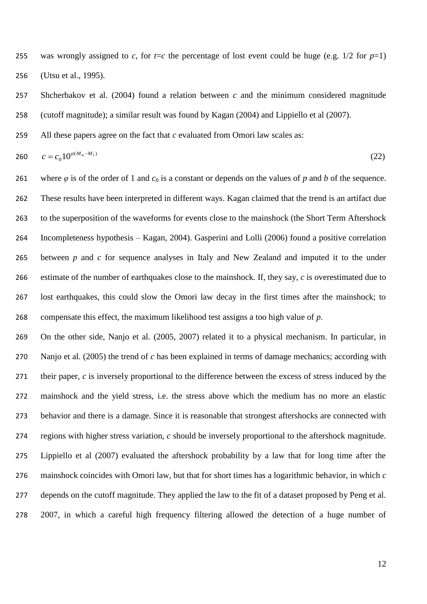255 was wrongly assigned to *c*, for  $t=c$  the percentage of lost event could be huge (e.g. 1/2 for  $p=1$ ) (Utsu et al., 1995).

 Shcherbakov et al. (2004) found a relation between *c* and the minimum considered magnitude (cutoff magnitude); a similar result was found by Kagan (2004) and Lippiello et al (2007).

All these papers agree on the fact that *c* evaluated from Omori law scales as:

$$
c = c_0 10^{\varphi(M_m - M_I)} \tag{22}
$$

261 where  $\varphi$  is of the order of 1 and  $c_0$  is a constant or depends on the values of  $p$  and  $b$  of the sequence. These results have been interpreted in different ways. Kagan claimed that the trend is an artifact due to the superposition of the waveforms for events close to the mainshock (the Short Term Aftershock Incompleteness hypothesis – Kagan, 2004). Gasperini and Lolli (2006) found a positive correlation between *p* and *c* for sequence analyses in Italy and New Zealand and imputed it to the under estimate of the number of earthquakes close to the mainshock. If, they say, *c* is overestimated due to lost earthquakes, this could slow the Omori law decay in the first times after the mainshock; to compensate this effect, the maximum likelihood test assigns a too high value of *p*.

 On the other side, Nanjo et al. (2005, 2007) related it to a physical mechanism. In particular, in Nanjo et al. (2005) the trend of *c* has been explained in terms of damage mechanics; according with their paper, *c* is inversely proportional to the difference between the excess of stress induced by the mainshock and the yield stress, i.e. the stress above which the medium has no more an elastic behavior and there is a damage. Since it is reasonable that strongest aftershocks are connected with regions with higher stress variation, *c* should be inversely proportional to the aftershock magnitude. Lippiello et al (2007) evaluated the aftershock probability by a law that for long time after the mainshock coincides with Omori law, but that for short times has a logarithmic behavior, in which *c* depends on the cutoff magnitude. They applied the law to the fit of a dataset proposed by Peng et al. 2007, in which a careful high frequency filtering allowed the detection of a huge number of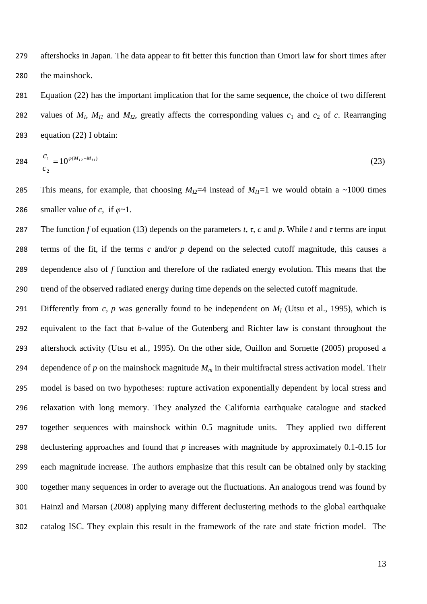aftershocks in Japan. The data appear to fit better this function than Omori law for short times after the mainshock.

 Equation (22) has the important implication that for the same sequence, the choice of two different 282 values of  $M_I$ ,  $M_{II}$  and  $M_{I2}$ , greatly affects the corresponding values  $c_1$  and  $c_2$  of  $c$ . Rearranging equation (22) I obtain:

$$
284 \frac{c_1}{c_2} = 10^{\varphi(M_{12} - M_{11})} \tag{23}
$$

285 This means, for example, that choosing  $M_{I2}=4$  instead of  $M_{I1}=1$  we would obtain a ~1000 times 286 smaller value of *c*, if  $\varphi \sim 1$ .

 The function *f* of equation (13) depends on the parameters *t*, *τ*, *c* and *p*. While *t* and *τ* terms are input terms of the fit, if the terms *c* and/or *p* depend on the selected cutoff magnitude, this causes a dependence also of *f* function and therefore of the radiated energy evolution. This means that the trend of the observed radiated energy during time depends on the selected cutoff magnitude.

 Differently from *c*, *p* was generally found to be independent on *M<sup>I</sup>* (Utsu et al., 1995), which is equivalent to the fact that *b*-value of the Gutenberg and Richter law is constant throughout the aftershock activity (Utsu et al., 1995). On the other side, Ouillon and Sornette (2005) proposed a 294 dependence of  $p$  on the mainshock magnitude  $M_m$  in their multifractal stress activation model. Their model is based on two hypotheses: rupture activation exponentially dependent by local stress and relaxation with long memory. They analyzed the California earthquake catalogue and stacked together sequences with mainshock within 0.5 magnitude units. They applied two different declustering approaches and found that *p* increases with magnitude by approximately 0.1-0.15 for each magnitude increase. The authors emphasize that this result can be obtained only by stacking together many sequences in order to average out the fluctuations. An analogous trend was found by Hainzl and Marsan (2008) applying many different declustering methods to the global earthquake catalog ISC. They explain this result in the framework of the rate and state friction model. The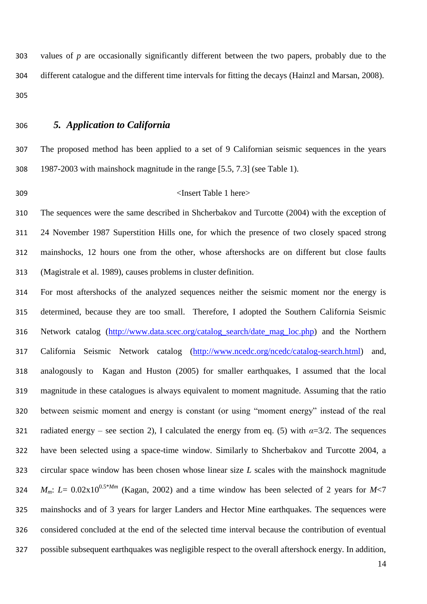values of *p* are occasionally significantly different between the two papers, probably due to the different catalogue and the different time intervals for fitting the decays (Hainzl and Marsan, 2008). 

*5. Application to California*

 The proposed method has been applied to a set of 9 Californian seismic sequences in the years 1987-2003 with mainshock magnitude in the range [5.5, 7.3] (see Table 1).

## <Insert Table 1 here>

 The sequences were the same described in Shcherbakov and Turcotte (2004) with the exception of 24 November 1987 Superstition Hills one, for which the presence of two closely spaced strong mainshocks, 12 hours one from the other, whose aftershocks are on different but close faults (Magistrale et al. 1989), causes problems in cluster definition.

 For most aftershocks of the analyzed sequences neither the seismic moment nor the energy is determined, because they are too small. Therefore, I adopted the Southern California Seismic Network catalog [\(http://www.data.scec.org/catalog\\_search/date\\_mag\\_loc.php\)](http://www.data.scec.org/catalog_search/date_mag_loc.php) and the Northern California Seismic Network catalog [\(http://www.ncedc.org/ncedc/catalog-search.html\)](http://www.ncedc.org/ncedc/catalog-search.html) and, analogously to Kagan and Huston (2005) for smaller earthquakes, I assumed that the local magnitude in these catalogues is always equivalent to moment magnitude. Assuming that the ratio between seismic moment and energy is constant (or using "moment energy" instead of the real 321 radiated energy – see section 2), I calculated the energy from eq. (5) with  $\alpha = 3/2$ . The sequences have been selected using a space-time window. Similarly to Shcherbakov and Turcotte 2004, a circular space window has been chosen whose linear size *L* scales with the mainshock magnitude *M<sub>m</sub>*:  $L = 0.02 \times 10^{0.5*Mm}$  (Kagan, 2002) and a time window has been selected of 2 years for *M*<7 mainshocks and of 3 years for larger Landers and Hector Mine earthquakes. The sequences were considered concluded at the end of the selected time interval because the contribution of eventual possible subsequent earthquakes was negligible respect to the overall aftershock energy. In addition,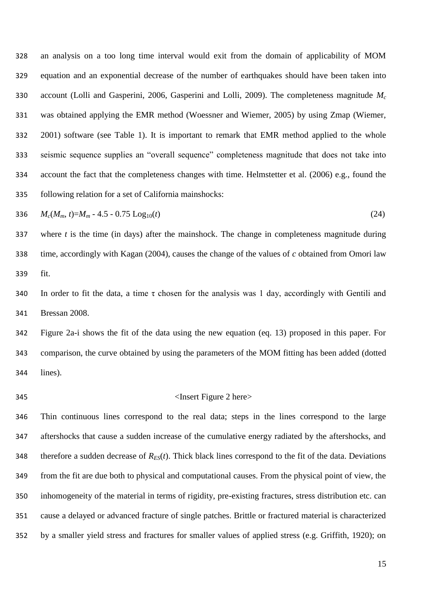an analysis on a too long time interval would exit from the domain of applicability of MOM equation and an exponential decrease of the number of earthquakes should have been taken into account (Lolli and Gasperini, 2006, Gasperini and Lolli, 2009). The completeness magnitude *M<sup>c</sup>* was obtained applying the EMR method (Woessner and Wiemer, 2005) by using Zmap (Wiemer, 2001) software (see Table 1). It is important to remark that EMR method applied to the whole seismic sequence supplies an "overall sequence" completeness magnitude that does not take into account the fact that the completeness changes with time. Helmstetter et al. (2006) e.g., found the following relation for a set of California mainshocks:

$$
336 \t M_c(M_m, t)=M_m - 4.5 - 0.75 \text{ Log}_{10}(t) \t (24)
$$

 where *t* is the time (in days) after the mainshock. The change in completeness magnitude during time, accordingly with Kagan (2004), causes the change of the values of *c* obtained from Omori law fit.

340 In order to fit the data, a time  $\tau$  chosen for the analysis was 1 day, accordingly with Gentili and Bressan 2008.

 Figure 2a-i shows the fit of the data using the new equation (eq. 13) proposed in this paper. For comparison, the curve obtained by using the parameters of the MOM fitting has been added (dotted lines).

## <Insert Figure 2 here>

 Thin continuous lines correspond to the real data; steps in the lines correspond to the large aftershocks that cause a sudden increase of the cumulative energy radiated by the aftershocks, and 348 therefore a sudden decrease of  $R_{ES}(t)$ . Thick black lines correspond to the fit of the data. Deviations from the fit are due both to physical and computational causes. From the physical point of view, the inhomogeneity of the material in terms of rigidity, pre-existing fractures, stress distribution etc. can cause a delayed or advanced fracture of single patches. Brittle or fractured material is characterized by a smaller yield stress and fractures for smaller values of applied stress (e.g. Griffith, 1920); on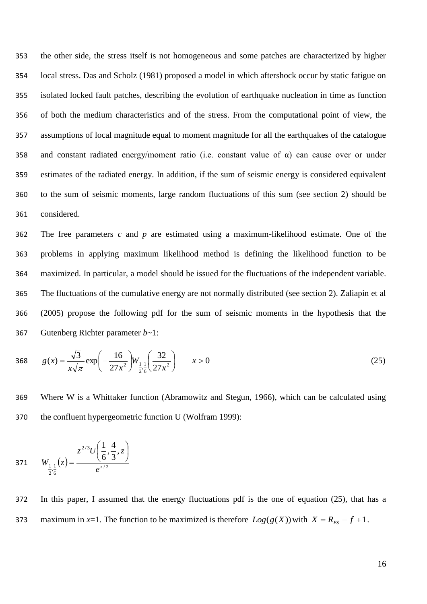the other side, the stress itself is not homogeneous and some patches are characterized by higher local stress. Das and Scholz (1981) proposed a model in which aftershock occur by static fatigue on isolated locked fault patches, describing the evolution of earthquake nucleation in time as function of both the medium characteristics and of the stress. From the computational point of view, the assumptions of local magnitude equal to moment magnitude for all the earthquakes of the catalogue 358 and constant radiated energy/moment ratio (i.e. constant value of  $\alpha$ ) can cause over or under estimates of the radiated energy. In addition, if the sum of seismic energy is considered equivalent to the sum of seismic moments, large random fluctuations of this sum (see section 2) should be considered.

 The free parameters *c* and *p* are estimated using a maximum-likelihood estimate. One of the problems in applying maximum likelihood method is defining the likelihood function to be maximized. In particular, a model should be issued for the fluctuations of the independent variable. The fluctuations of the cumulative energy are not normally distributed (see section 2). Zaliapin et al (2005) propose the following pdf for the sum of seismic moments in the hypothesis that the Gutenberg Richter parameter *b*~1:

368 
$$
g(x) = \frac{\sqrt{3}}{x\sqrt{\pi}} \exp\left(-\frac{16}{27x^2}\right) W_{\frac{1}{2}:\frac{1}{6}}\left(\frac{32}{27x^2}\right) \qquad x > 0
$$
 (25)

369 Where W is a Whittaker function (Abramowitz and Stegun, 1966), which can be calculated using 370 the confluent hypergeometric function U (Wolfram 1999):

371 
$$
W_{\frac{1}{2},\frac{1}{6}}(z) = \frac{z^{2/3}U\left(\frac{1}{6},\frac{4}{3},z\right)}{e^{z/2}}
$$

372 In this paper, I assumed that the energy fluctuations pdf is the one of equation (25), that has a 373 maximum in *x*=1. The function to be maximized is therefore  $Log(g(X))$  with  $X = R_{ES} - f + 1$ .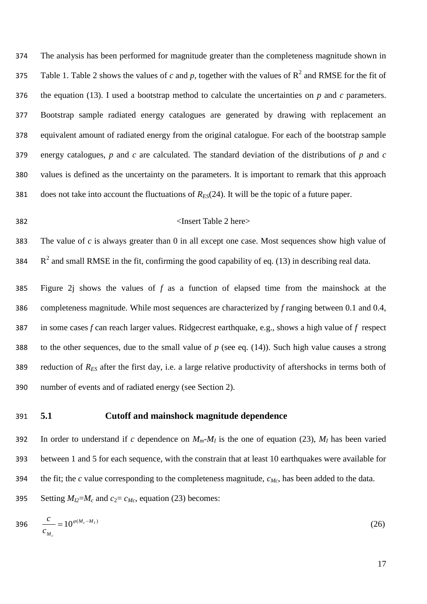The analysis has been performed for magnitude greater than the completeness magnitude shown in 375 Table 1. Table 2 shows the values of *c* and *p*, together with the values of  $R^2$  and RMSE for the fit of the equation (13). I used a bootstrap method to calculate the uncertainties on *p* and *c* parameters. Bootstrap sample radiated energy catalogues are generated by drawing with replacement an equivalent amount of radiated energy from the original catalogue. For each of the bootstrap sample energy catalogues, *p* and *c* are calculated. The standard deviation of the distributions of *p* and *c* values is defined as the uncertainty on the parameters. It is important to remark that this approach does not take into account the fluctuations of *RES*(24). It will be the topic of a future paper.

#### <Insert Table 2 here>

 The value of *c* is always greater than 0 in all except one case. Most sequences show high value of 384  $\,$  R<sup>2</sup> and small RMSE in the fit, confirming the good capability of eq. (13) in describing real data.

 Figure 2j shows the values of *f* as a function of elapsed time from the mainshock at the completeness magnitude. While most sequences are characterized by *f* ranging between 0.1 and 0.4, in some cases *f* can reach larger values. Ridgecrest earthquake, e.g., shows a high value of *f* respect to the other sequences, due to the small value of *p* (see eq. (14)). Such high value causes a strong reduction of *RES* after the first day, i.e. a large relative productivity of aftershocks in terms both of number of events and of radiated energy (see Section 2).

## **5.1 Cutoff and mainshock magnitude dependence**

392 In order to understand if *c* dependence on  $M_m$ - $M_I$  is the one of equation (23),  $M_I$  has been varied between 1 and 5 for each sequence, with the constrain that at least 10 earthquakes were available for the fit; the *c* value corresponding to the completeness magnitude, *cMc*, has been added to the data.

395 Setting  $M_{I2} = M_c$  and  $c_2 = c_{M_c}$ , equation (23) becomes:

$$
396 \frac{c}{c_{M_c}} = 10^{\varphi(M_c - M_I)} \tag{26}
$$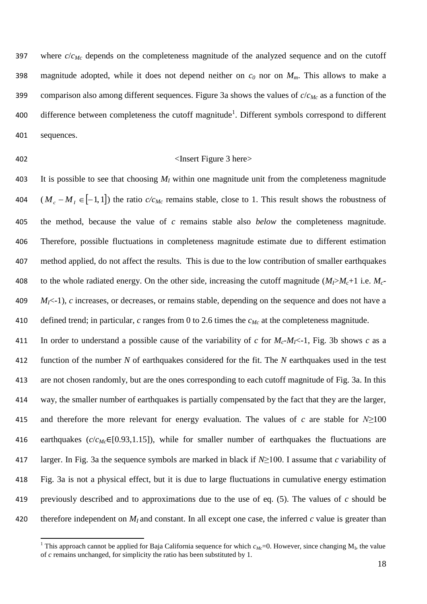where *c*/*cMc* depends on the completeness magnitude of the analyzed sequence and on the cutoff 398 magnitude adopted, while it does not depend neither on  $c_0$  nor on  $M_m$ . This allows to make a comparison also among different sequences. Figure 3a shows the values of *c*/*cMc* as a function of the 400 difference between completeness the cutoff magnitude<sup>1</sup>. Different symbols correspond to different sequences.

**.** 

#### <Insert Figure 3 here>

 It is possible to see that choosing *M<sup>I</sup>* within one magnitude unit from the completeness magnitude  $(M_c - M_f \in [-1,1])$  the ratio  $c/c_{Mc}$  remains stable, close to 1. This result shows the robustness of the method, because the value of *c* remains stable also *below* the completeness magnitude. Therefore, possible fluctuations in completeness magnitude estimate due to different estimation method applied, do not affect the results. This is due to the low contribution of smaller earthquakes 408 to the whole radiated energy. On the other side, increasing the cutoff magnitude  $(M_P M_c + 1)$  i.e.  $M_C$  *M*<sup> $\le$ </sup>-1), *c* increases, or decreases, or remains stable, depending on the sequence and does not have a defined trend; in particular, *c* ranges from 0 to 2.6 times the *cMc* at the completeness magnitude.

411 In order to understand a possible cause of the variability of *c* for  $M_c$ - $M_f$ <-1, Fig. 3b shows *c* as a function of the number *N* of earthquakes considered for the fit. The *N* earthquakes used in the test are not chosen randomly, but are the ones corresponding to each cutoff magnitude of Fig. 3a. In this way, the smaller number of earthquakes is partially compensated by the fact that they are the larger, and therefore the more relevant for energy evaluation. The values of *c* are stable for *N≥*100 earthquakes (*c*/*cMc*∈[0.93,1.15]), while for smaller number of earthquakes the fluctuations are larger. In Fig. 3a the sequence symbols are marked in black if *N*≥100. I assume that *c* variability of Fig. 3a is not a physical effect, but it is due to large fluctuations in cumulative energy estimation previously described and to approximations due to the use of eq. (5). The values of *c* should be 420 therefore independent on  $M_I$  and constant. In all except one case, the inferred  $c$  value is greater than

<sup>&</sup>lt;sup>1</sup> This approach cannot be applied for Baja California sequence for which  $c_{Mc}$ =0. However, since changing  $M_I$ , the value of *c* remains unchanged, for simplicity the ratio has been substituted by 1.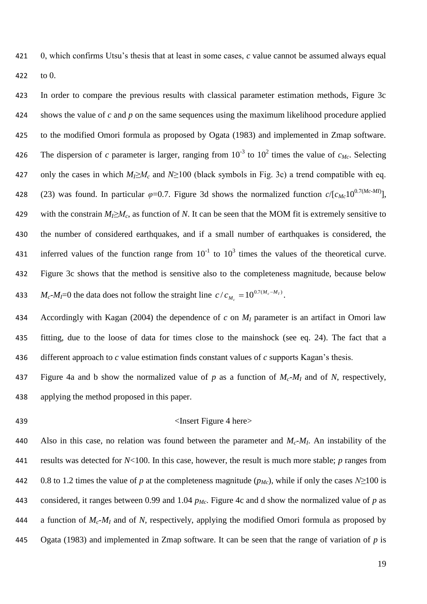0, which confirms Utsu's thesis that at least in some cases, *c* value cannot be assumed always equal to 0.

 In order to compare the previous results with classical parameter estimation methods, Figure 3c shows the value of *c* and *p* on the same sequences using the maximum likelihood procedure applied to the modified Omori formula as proposed by Ogata (1983) and implemented in Zmap software. 426 The dispersion of *c* parameter is larger, ranging from  $10^{-3}$  to  $10^2$  times the value of  $c_{Mc}$ . Selecting 427 only the cases in which  $M_I \ge M_c$  and  $N \ge 100$  (black symbols in Fig. 3c) a trend compatible with eq. 428 (23) was found. In particular  $\varphi$ =0.7. Figure 3d shows the normalized function  $c/[c_{Mc}10^{0.7(Mc\cdot MI)}]$ , 429 with the constrain  $M_I \ge M_c$ , as function of *N*. It can be seen that the MOM fit is extremely sensitive to the number of considered earthquakes, and if a small number of earthquakes is considered, the 431 inferred values of the function range from  $10^{-1}$  to  $10^3$  times the values of the theoretical curve. Figure 3c shows that the method is sensitive also to the completeness magnitude, because below  $M_c$ - $M_l$ =0 the data does not follow the straight line  $c/c_{M_c} = 10^{0.7(M_c - M_l)}$  $M_c - M$  $c/c_{M_c} = 10^{0.7(M_c - M_I)}$ . 

 Accordingly with Kagan (2004) the dependence of *c* on *M<sup>I</sup>* parameter is an artifact in Omori law fitting, due to the loose of data for times close to the mainshock (see eq. 24). The fact that a different approach to *c* value estimation finds constant values of *c* supports Kagan's thesis.

 Figure 4a and b show the normalized value of *p* as a function of *Mc*-*M<sup>I</sup>* and of *N*, respectively, applying the method proposed in this paper.

### 439 <Insert Figure 4 here>

Also in this case, no relation was found between the parameter and  $M_c$ - $M_l$ . An instability of the results was detected for *N*<100. In this case, however, the result is much more stable; *p* ranges from 442 0.8 to 1.2 times the value of *p* at the completeness magnitude  $(p_{Mc})$ , while if only the cases  $N≥100$  is considered, it ranges between 0.99 and 1.04 *pMc*. Figure 4c and d show the normalized value of *p* as a function of *Mc*-*M<sup>I</sup>* and of *N*, respectively, applying the modified Omori formula as proposed by Ogata (1983) and implemented in Zmap software. It can be seen that the range of variation of *p* is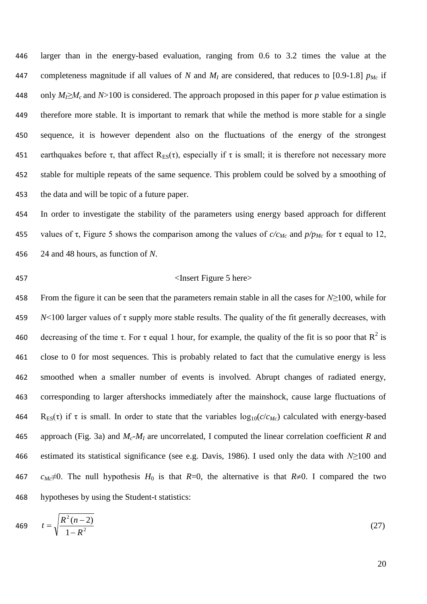larger than in the energy-based evaluation, ranging from 0.6 to 3.2 times the value at the 447 completeness magnitude if all values of *N* and  $M_I$  are considered, that reduces to [0.9-1.8]  $p_{M_C}$  if 448 only  $M_l \geq M_c$  and  $N>100$  is considered. The approach proposed in this paper for p value estimation is therefore more stable. It is important to remark that while the method is more stable for a single sequence, it is however dependent also on the fluctuations of the energy of the strongest 451 earthquakes before  $\tau$ , that affect  $R_{ES}(\tau)$ , especially if  $\tau$  is small; it is therefore not necessary more stable for multiple repeats of the same sequence. This problem could be solved by a smoothing of the data and will be topic of a future paper.

454 In order to investigate the stability of the parameters using energy based approach for different 455 values of  $\tau$ , Figure 5 shows the comparison among the values of  $c/c_{Mc}$  and  $p/p_{Mc}$  for  $\tau$  equal to 12, 456 24 and 48 hours, as function of *N*.

#### 457 <Insert Figure 5 here>

 From the figure it can be seen that the parameters remain stable in all the cases for *N≥*100, while for  $N<100$  larger values of  $\tau$  supply more stable results. The quality of the fit generally decreases, with 460 decreasing of the time  $\tau$ . For  $\tau$  equal 1 hour, for example, the quality of the fit is so poor that  $R^2$  is close to 0 for most sequences. This is probably related to fact that the cumulative energy is less smoothed when a smaller number of events is involved. Abrupt changes of radiated energy, corresponding to larger aftershocks immediately after the mainshock, cause large fluctuations of 464 R<sub>ES</sub>(τ) if τ is small. In order to state that the variables  $log_{10}(c/c_{Mc})$  calculated with energy-based approach (Fig. 3a) and *Mc*-*M<sup>I</sup>* are uncorrelated, I computed the linear correlation coefficient *R* and estimated its statistical significance (see e.g. Davis, 1986). I used only the data with *N≥*100 and *c<sub>Mc</sub>*≠0. The null hypothesis  $H_0$  is that  $R=0$ , the alternative is that  $R\neq0$ . I compared the two hypotheses by using the Student-t statistics:

$$
t = \sqrt{\frac{R^2(n-2)}{1 - R^2}}\tag{27}
$$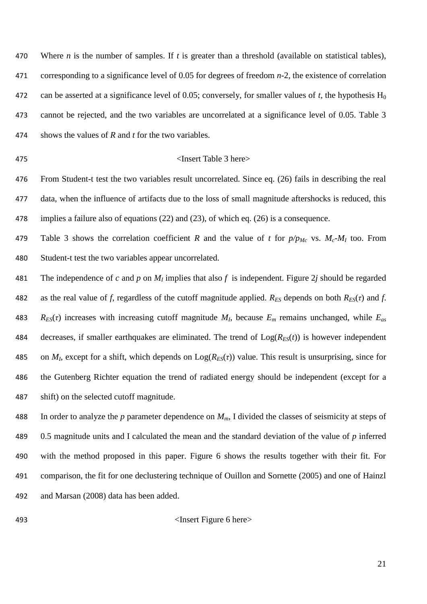Where *n* is the number of samples. If *t* is greater than a threshold (available on statistical tables), corresponding to a significance level of 0.05 for degrees of freedom *n*-2, the existence of correlation 472 can be asserted at a significance level of 0.05; conversely, for smaller values of *t*, the hypothesis  $H_0$  cannot be rejected, and the two variables are uncorrelated at a significance level of 0.05. Table 3 shows the values of *R* and *t* for the two variables.

#### <Insert Table 3 here>

 From Student-t test the two variables result uncorrelated. Since eq. (26) fails in describing the real data, when the influence of artifacts due to the loss of small magnitude aftershocks is reduced, this implies a failure also of equations (22) and (23), of which eq. (26) is a consequence.

479 Table 3 shows the correlation coefficient *R* and the value of *t* for  $p/p_{Mc}$  vs.  $M_c$ - $M_l$  too. From Student-t test the two variables appear uncorrelated.

 The independence of *c* and *p* on *M<sup>I</sup>* implies that also *f* is independent. Figure 2*j* should be regarded 482 as the real value of *f*, regardless of the cutoff magnitude applied.  $R_{ES}$  depends on both  $R_{ES}(\tau)$  and *f*. 483  $R_{ES}(\tau)$  increases with increasing cutoff magnitude  $M_I$ , because  $E_m$  remains unchanged, while  $E_{as}$ 484 decreases, if smaller earthquakes are eliminated. The trend of  $Log(R_{ES}(t))$  is however independent 485 on  $M_I$ , except for a shift, which depends on  $Log(R_{ES}(\tau))$  value. This result is unsurprising, since for the Gutenberg Richter equation the trend of radiated energy should be independent (except for a shift) on the selected cutoff magnitude.

 In order to analyze the *p* parameter dependence on *Mm*, I divided the classes of seismicity at steps of 0.5 magnitude units and I calculated the mean and the standard deviation of the value of *p* inferred with the method proposed in this paper. Figure 6 shows the results together with their fit. For comparison, the fit for one declustering technique of Ouillon and Sornette (2005) and one of Hainzl and Marsan (2008) data has been added.

493 <Insert Figure 6 here>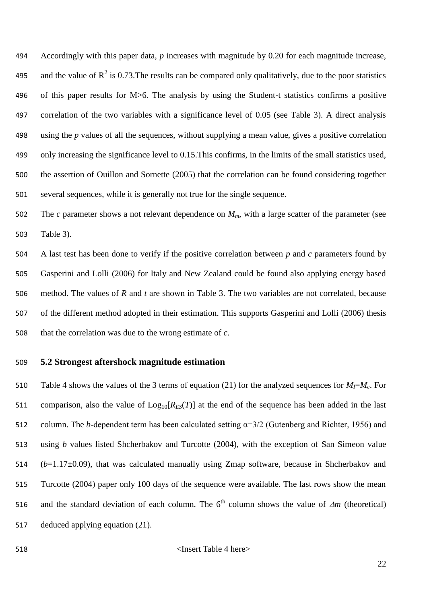Accordingly with this paper data, *p* increases with magnitude by 0.20 for each magnitude increase, 495 and the value of  $R^2$  is 0.73. The results can be compared only qualitatively, due to the poor statistics of this paper results for M>6. The analysis by using the Student-t statistics confirms a positive correlation of the two variables with a significance level of 0.05 (see Table 3). A direct analysis using the *p* values of all the sequences, without supplying a mean value, gives a positive correlation only increasing the significance level to 0.15.This confirms, in the limits of the small statistics used, the assertion of Ouillon and Sornette (2005) that the correlation can be found considering together several sequences, while it is generally not true for the single sequence.

 The *c* parameter shows a not relevant dependence on *Mm*, with a large scatter of the parameter (see Table 3).

 A last test has been done to verify if the positive correlation between *p* and *c* parameters found by Gasperini and Lolli (2006) for Italy and New Zealand could be found also applying energy based method. The values of *R* and *t* are shown in Table 3. The two variables are not correlated, because of the different method adopted in their estimation. This supports Gasperini and Lolli (2006) thesis that the correlation was due to the wrong estimate of *c*.

## **5.2 Strongest aftershock magnitude estimation**

510 Table 4 shows the values of the 3 terms of equation (21) for the analyzed sequences for  $M_I = M_c$ . For 511 comparison, also the value of  $Log_{10}[R_{ES}(T)]$  at the end of the sequence has been added in the last column. The *b*-dependent term has been calculated setting α=3/2 (Gutenberg and Richter, 1956) and using *b* values listed Shcherbakov and Turcotte (2004), with the exception of San Simeon value (*b*=1.17±0.09), that was calculated manually using Zmap software, because in Shcherbakov and Turcotte (2004) paper only 100 days of the sequence were available. The last rows show the mean 516 and the standard deviation of each column. The  $6<sup>th</sup>$  column shows the value of  $\Delta m$  (theoretical) deduced applying equation (21).

<Insert Table 4 here>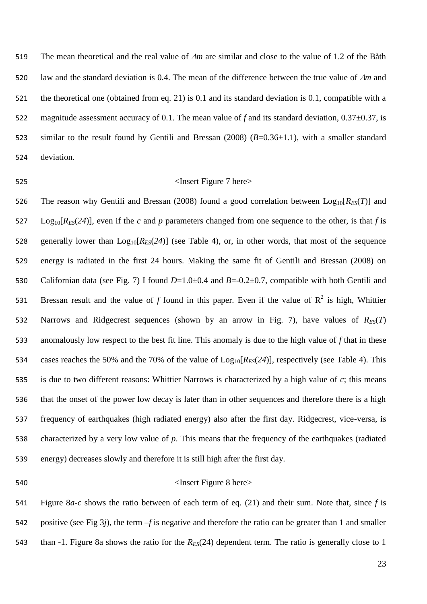519 The mean theoretical and the real value of  $\Delta m$  are similar and close to the value of 1.2 of the Båth 520 law and the standard deviation is 0.4. The mean of the difference between the true value of  $\Delta m$  and the theoretical one (obtained from eq. 21) is 0.1 and its standard deviation is 0.1, compatible with a 522 magnitude assessment accuracy of 0.1. The mean value of f and its standard deviation, 0.37 $\pm$ 0.37, is similar to the result found by Gentili and Bressan (2008) (*B*=0.36±1.1), with a smaller standard deviation.

#### 525 > Solution of the Superior Section 1 and  $\epsilon$  Insert Figure 7 here  $>$

526 The reason why Gentili and Bressan (2008) found a good correlation between  $Log_{10}[R_{FS}(T)]$  and Log<sub>10</sub>[ $R_{ES}(24)$ ], even if the *c* and *p* parameters changed from one sequence to the other, is that *f* is 528 generally lower than  $Log_{10}[R_{ES}(24)]$  (see Table 4), or, in other words, that most of the sequence energy is radiated in the first 24 hours. Making the same fit of Gentili and Bressan (2008) on Californian data (see Fig. 7) I found *D*=1.0±0.4 and *B*=-0.2±0.7, compatible with both Gentili and 531 Bressan result and the value of *f* found in this paper. Even if the value of  $R^2$  is high, Whittier 532 Narrows and Ridgecrest sequences (shown by an arrow in Fig. 7), have values of  $R_{ES}(T)$  anomalously low respect to the best fit line. This anomaly is due to the high value of *f* that in these 534 cases reaches the 50% and the 70% of the value of  $\text{Log}_{10}[R_{ES}(24)]$ , respectively (see Table 4). This is due to two different reasons: Whittier Narrows is characterized by a high value of *c*; this means that the onset of the power low decay is later than in other sequences and therefore there is a high frequency of earthquakes (high radiated energy) also after the first day. Ridgecrest, vice-versa, is characterized by a very low value of *p*. This means that the frequency of the earthquakes (radiated energy) decreases slowly and therefore it is still high after the first day.

### 540 > Same Shere Shere Shere Shere Shere Shere Shere Shere Shere Shere Shere Shere Shere Shere Shere Shere Shere Shere Shere Shere Shere Shere Shere Shere Shere Shere Shere Shere Shere Shere Shere Shere Shere Shere Shere S

 Figure 8*a*-*c* shows the ratio between of each term of eq. (21) and their sum. Note that, since *f* is positive (see Fig 3*j*), the term –*f* is negative and therefore the ratio can be greater than 1 and smaller than -1. Figure 8a shows the ratio for the *RES*(24) dependent term. The ratio is generally close to 1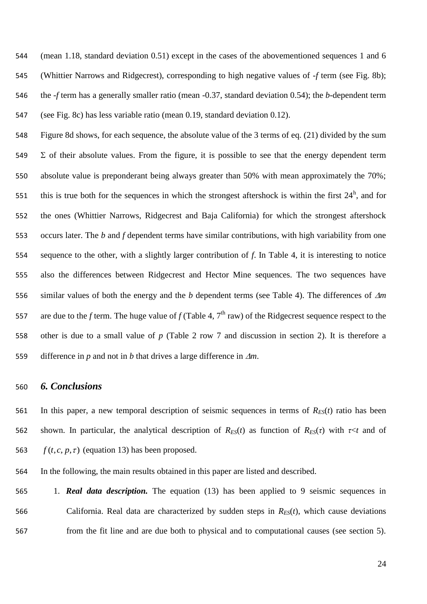(mean 1.18, standard deviation 0.51) except in the cases of the abovementioned sequences 1 and 6 (Whittier Narrows and Ridgecrest), corresponding to high negative values of -*f* term (see Fig. 8b); the -*f* term has a generally smaller ratio (mean -0.37, standard deviation 0.54); the *b*-dependent term (see Fig. 8c) has less variable ratio (mean 0.19, standard deviation 0.12).

 Figure 8d shows, for each sequence, the absolute value of the 3 terms of eq. (21) divided by the sum  $\Sigma$  of their absolute values. From the figure, it is possible to see that the energy dependent term absolute value is preponderant being always greater than 50% with mean approximately the 70%; 551 this is true both for the sequences in which the strongest aftershock is within the first  $24<sup>h</sup>$ , and for the ones (Whittier Narrows, Ridgecrest and Baja California) for which the strongest aftershock occurs later. The *b* and *f* dependent terms have similar contributions, with high variability from one sequence to the other, with a slightly larger contribution of *f*. In Table 4, it is interesting to notice also the differences between Ridgecrest and Hector Mine sequences. The two sequences have similar values of both the energy and the *b* dependent terms (see Table 4). The differences of *m* 557 are due to the *f* term. The huge value of  $f$  (Table 4,  $7<sup>th</sup>$  raw) of the Ridgecrest sequence respect to the other is due to a small value of *p* (Table 2 row 7 and discussion in section 2). It is therefore a 559 difference in *p* and not in *b* that drives a large difference in  $\Delta m$ .

## *6. Conclusions*

561 In this paper, a new temporal description of seismic sequences in terms of  $R_{ES}(t)$  ratio has been 562 shown. In particular, the analytical description of  $R_{ES}(t)$  as function of  $R_{ES}(\tau)$  with  $\tau \leq t$  and of  $f(t, c, p, \tau)$  (equation 13) has been proposed.

In the following, the main results obtained in this paper are listed and described.

 1. *Real data description.* The equation (13) has been applied to 9 seismic sequences in 566 California. Real data are characterized by sudden steps in  $R_{ES}(t)$ , which cause deviations from the fit line and are due both to physical and to computational causes (see section 5).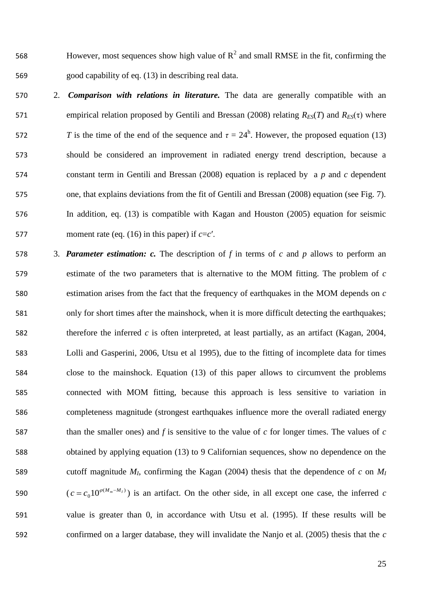568 However, most sequences show high value of  $R^2$  and small RMSE in the fit, confirming the good capability of eq. (13) in describing real data.

- 2. *Comparison with relations in literature.* The data are generally compatible with an 571 empirical relation proposed by Gentili and Bressan (2008) relating  $R_{ES}(T)$  and  $R_{ES}(τ)$  where 572 *T* is the time of the end of the sequence and  $\tau = 24^{\text{h}}$ . However, the proposed equation (13) should be considered an improvement in radiated energy trend description, because a constant term in Gentili and Bressan (2008) equation is replaced by a *p* and *c* dependent one, that explains deviations from the fit of Gentili and Bressan (2008) equation (see Fig. 7). In addition, eq. (13) is compatible with Kagan and Houston (2005) equation for seismic 577 moment rate (eq. (16) in this paper) if  $c=c'$ .
- 3. *Parameter estimation: c.* The description of *f* in terms of *c* and *p* allows to perform an estimate of the two parameters that is alternative to the MOM fitting. The problem of *c* estimation arises from the fact that the frequency of earthquakes in the MOM depends on *c* only for short times after the mainshock, when it is more difficult detecting the earthquakes; therefore the inferred *c* is often interpreted, at least partially, as an artifact (Kagan, 2004, Lolli and Gasperini, 2006, Utsu et al 1995), due to the fitting of incomplete data for times close to the mainshock. Equation (13) of this paper allows to circumvent the problems connected with MOM fitting, because this approach is less sensitive to variation in completeness magnitude (strongest earthquakes influence more the overall radiated energy than the smaller ones) and *f* is sensitive to the value of *c* for longer times. The values of *c* obtained by applying equation (13) to 9 Californian sequences, show no dependence on the 589 cutoff magnitude  $M_I$ , confirming the Kagan (2004) thesis that the dependence of  $c$  on  $M_I$ 590  $(c = c_0 10^{\varphi(M_m - M_I)} )$  is an artifact. On the other side, in all except one case, the inferred *c*  value is greater than 0, in accordance with Utsu et al. (1995). If these results will be confirmed on a larger database, they will invalidate the Nanjo et al. (2005) thesis that the *c*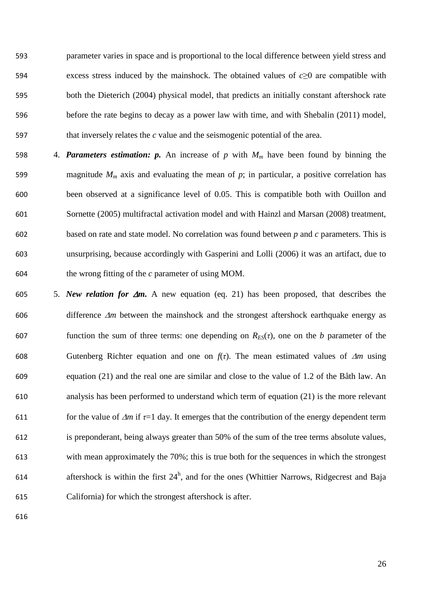parameter varies in space and is proportional to the local difference between yield stress and excess stress induced by the mainshock. The obtained values of *c*≥0 are compatible with both the Dieterich (2004) physical model, that predicts an initially constant aftershock rate before the rate begins to decay as a power law with time, and with Shebalin (2011) model, that inversely relates the *c* value and the seismogenic potential of the area.

- 598 4. *Parameters estimation: p.* An increase of  $p$  with  $M_m$  have been found by binning the 599 magnitude  $M_m$  axis and evaluating the mean of  $p$ ; in particular, a positive correlation has been observed at a significance level of 0.05. This is compatible both with Ouillon and Sornette (2005) multifractal activation model and with Hainzl and Marsan (2008) treatment, based on rate and state model. No correlation was found between *p* and *c* parameters. This is unsurprising, because accordingly with Gasperini and Lolli (2006) it was an artifact, due to the wrong fitting of the *c* parameter of using MOM.
- 605 5. *New relation for*  $\Delta m$ *.* A new equation (eq. 21) has been proposed, that describes the 606 difference  $\Delta m$  between the mainshock and the strongest aftershock earthquake energy as 607 function the sum of three terms: one depending on  $R_{ES}(\tau)$ , one on the *b* parameter of the 608 Gutenberg Richter equation and one on  $f(\tau)$ . The mean estimated values of  $\Delta m$  using equation (21) and the real one are similar and close to the value of 1.2 of the Båth law. An analysis has been performed to understand which term of equation (21) is the more relevant 611 for the value of  $\Delta m$  if  $\tau = 1$  day. It emerges that the contribution of the energy dependent term is preponderant, being always greater than 50% of the sum of the tree terms absolute values, with mean approximately the 70%; this is true both for the sequences in which the strongest 614 aftershock is within the first  $24^h$ , and for the ones (Whittier Narrows, Ridgecrest and Baja California) for which the strongest aftershock is after.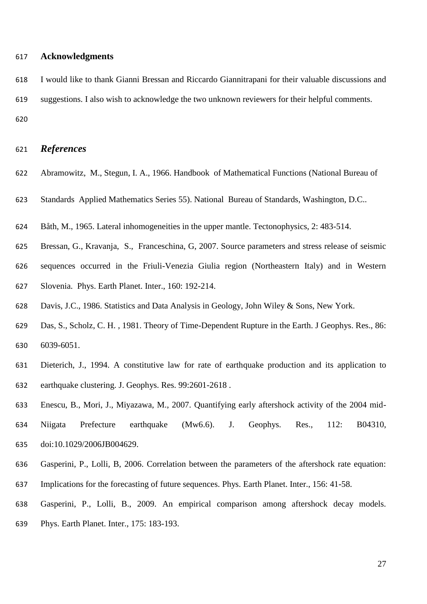## **Acknowledgments**

 I would like to thank Gianni Bressan and Riccardo Giannitrapani for their valuable discussions and suggestions. I also wish to acknowledge the two unknown reviewers for their helpful comments. 

## *References*

- Abramowitz, M., Stegun, I. A., 1966. Handbook of Mathematical Functions (National Bureau of
- Standards Applied Mathematics Series 55). National Bureau of Standards, Washington, D.C..
- Båth, M., 1965. Lateral inhomogeneities in the upper mantle. Tectonophysics, 2: 483-514.
- Bressan, G., Kravanja, S., Franceschina, G, 2007. Source parameters and stress release of seismic
- sequences occurred in the Friuli-Venezia Giulia region (Northeastern Italy) and in Western Slovenia. Phys. Earth Planet. Inter., 160: 192-214.
- Davis, J.C., 1986. Statistics and Data Analysis in Geology, John Wiley & Sons, New York.
- Das, S., Scholz, C. H. , 1981. Theory of Time-Dependent Rupture in the Earth. J Geophys. Res., 86: 6039-6051.
- Dieterich, J., 1994. A constitutive law for rate of earthquake production and its application to earthquake clustering. J. Geophys. Res. 99:2601-2618 .
- Enescu, B., Mori, J., Miyazawa, M., 2007. Quantifying early aftershock activity of the 2004 mid-Niigata Prefecture earthquake (Mw6.6). J. Geophys. Res., 112: B04310,
- doi:10.1029/2006JB004629.
- Gasperini, P., Lolli, B, 2006. Correlation between the parameters of the aftershock rate equation: Implications for the forecasting of future sequences. Phys. Earth Planet. Inter., 156: 41-58.
- Gasperini, P., Lolli, B., 2009. An empirical comparison among aftershock decay models.
- Phys. Earth Planet. Inter., 175: 183-193.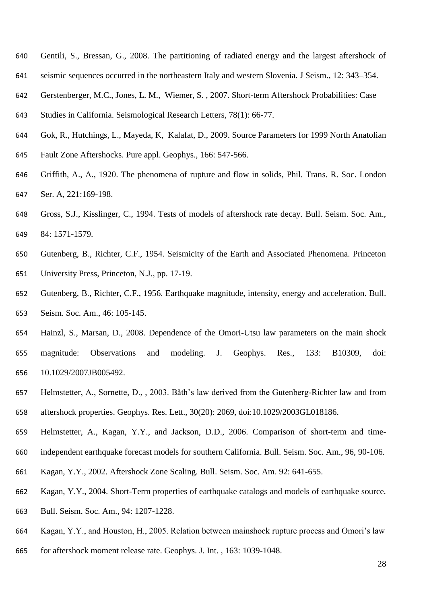- Gentili, S., Bressan, G., 2008. The partitioning of radiated energy and the largest aftershock of
- seismic sequences occurred in the northeastern Italy and western Slovenia. J Seism., 12: 343–354.
- Gerstenberger, M.C., Jones, L. M., Wiemer, S. , 2007. Short-term Aftershock Probabilities: Case
- Studies in California. Seismological Research Letters, 78(1): 66-77.
- Gok, R., Hutchings, L., Mayeda, K, Kalafat, D., 2009. Source Parameters for 1999 North Anatolian
- Fault Zone Aftershocks. Pure appl. Geophys., 166: 547-566.
- Griffith, A., A., 1920. The phenomena of rupture and flow in solids, Phil. Trans. R. Soc. London Ser. A, 221:169-198.
- Gross, S.J., Kisslinger, C., 1994. Tests of models of aftershock rate decay. Bull. Seism. Soc. Am., 84: 1571-1579.
- Gutenberg, B., Richter, C.F., 1954. Seismicity of the Earth and Associated Phenomena. Princeton University Press, Princeton, N.J., pp. 17-19.
- Gutenberg, B., Richter, C.F., 1956. Earthquake magnitude, intensity, energy and acceleration. Bull. Seism. Soc. Am., 46: 105-145.
- Hainzl, S., Marsan, D., 2008. Dependence of the Omori-Utsu law parameters on the main shock magnitude: Observations and modeling. J. Geophys. Res., 133: B10309, doi: 10.1029/2007JB005492.
- Helmstetter, A., Sornette, D., , 2003. Båth's law derived from the Gutenberg-Richter law and from aftershock properties. Geophys. Res. Lett., 30(20): 2069, doi:10.1029/2003GL018186.
- Helmstetter, A., Kagan, Y.Y., and Jackson, D.D., 2006. Comparison of short-term and time-
- independent earthquake forecast models for southern California. Bull. Seism. Soc. Am., 96, 90-106.
- Kagan, Y.Y., 2002. Aftershock Zone Scaling. Bull. Seism. Soc. Am. 92: 641-655.
- Kagan, Y.Y., 2004. Short-Term properties of earthquake catalogs and models of earthquake source.
- Bull. Seism. Soc. Am., 94: 1207-1228.
- Kagan, Y.Y., and Houston, H., 2005. Relation between mainshock rupture process and Omori's law
- for aftershock moment release rate. Geophys. J. Int. , 163: 1039-1048.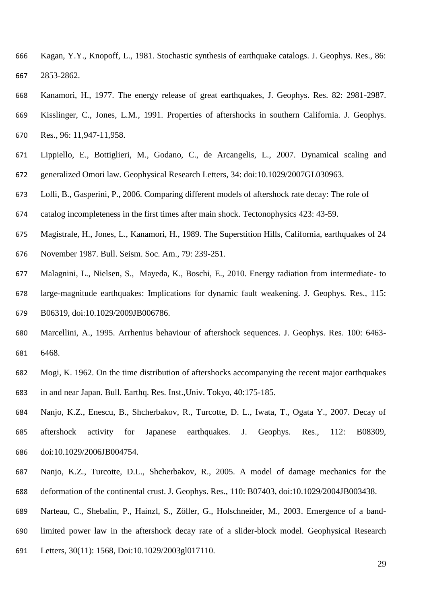- Kagan, Y.Y., Knopoff, L., 1981. Stochastic synthesis of earthquake catalogs. J. Geophys. Res., 86: 2853-2862.
- Kanamori, H., 1977. The energy release of great earthquakes, J. Geophys. Res. 82: 2981-2987.
- Kisslinger, C., Jones, L.M., 1991. Properties of aftershocks in southern California. J. Geophys. Res., 96: 11,947-11,958.
- Lippiello, E., Bottiglieri, M., Godano, C., de Arcangelis, L., 2007. Dynamical scaling and generalized Omori law. Geophysical Research Letters, 34: doi:10.1029/2007GL030963.
- Lolli, B., Gasperini, P., 2006. Comparing different models of aftershock rate decay: The role of
- catalog incompleteness in the first times after main shock. Tectonophysics 423: 43-59.
- Magistrale, H., Jones, L., Kanamori, H., 1989. The Superstition Hills, California, earthquakes of 24 November 1987. Bull. Seism. Soc. Am., 79: 239-251.
- Malagnini, L., Nielsen, S., Mayeda, K., Boschi, E., 2010. Energy radiation from intermediate- to
- large-magnitude earthquakes: Implications for dynamic fault weakening. J. Geophys. Res., 115: B06319, doi:10.1029/2009JB006786.
- Marcellini, A., 1995. Arrhenius behaviour of aftershock sequences. J. Geophys. Res. 100: 6463- 6468.
- Mogi, K. 1962. On the time distribution of aftershocks accompanying the recent major earthquakes in and near Japan. Bull. Earthq. Res. Inst.,Univ. Tokyo, 40:175-185.
- Nanjo, K.Z., Enescu, B., Shcherbakov, R., Turcotte, D. L., Iwata, T., Ogata Y., 2007. Decay of aftershock activity for Japanese earthquakes. J. Geophys. Res., 112: B08309, doi:10.1029/2006JB004754.
- Nanjo, K.Z., Turcotte, D.L., Shcherbakov, R., 2005. A model of damage mechanics for the deformation of the continental crust. J. Geophys. Res., 110: B07403, doi:10.1029/2004JB003438.
- Narteau, C., Shebalin, P., Hainzl, S., Zöller, G., Holschneider, M., 2003. Emergence of a band-
- limited power law in the aftershock decay rate of a slider-block model. Geophysical Research
- Letters, 30(11): 1568, Doi:10.1029/2003gl017110.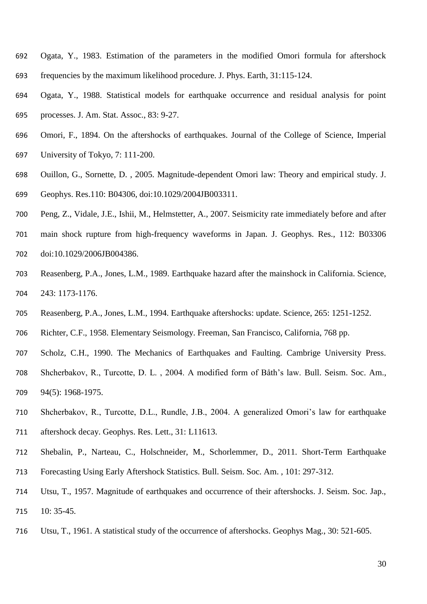- Ogata, Y., 1983. Estimation of the parameters in the modified Omori formula for aftershock frequencies by the maximum likelihood procedure. J. Phys. Earth, 31:115-124.
- Ogata, Y., 1988. Statistical models for earthquake occurrence and residual analysis for point processes. J. Am. Stat. Assoc., 83: 9-27.
- Omori, F., 1894. On the aftershocks of earthquakes. Journal of the College of Science, Imperial
- University of Tokyo, 7: 111-200.
- Ouillon, G., Sornette, D. , 2005. Magnitude-dependent Omori law: Theory and empirical study. J. Geophys. Res.110: B04306, doi:10.1029/2004JB003311.
- Peng, Z., Vidale, J.E., Ishii, M., Helmstetter, A., 2007. Seismicity rate immediately before and after
- main shock rupture from high-frequency waveforms in Japan. J. Geophys. Res., 112: B03306 doi:10.1029/2006JB004386.
- Reasenberg, P.A., Jones, L.M., 1989. Earthquake hazard after the mainshock in California. Science, 243: 1173-1176.
- Reasenberg, P.A., Jones, L.M., 1994. Earthquake aftershocks: update. Science, 265: 1251-1252.
- Richter, C.F., 1958. Elementary Seismology. Freeman, San Francisco, California, 768 pp.
- Scholz, C.H., 1990. The Mechanics of Earthquakes and Faulting. Cambrige University Press.
- Shcherbakov, R., Turcotte, D. L. , 2004. A modified form of Båth's law. Bull. Seism. Soc. Am., 94(5): 1968-1975.
- Shcherbakov, R., Turcotte, D.L., Rundle, J.B., 2004. A generalized Omori's law for earthquake aftershock decay. Geophys. Res. Lett., 31: L11613.
- Shebalin, P., Narteau, C., Holschneider, M., Schorlemmer, D., 2011. Short-Term Earthquake Forecasting Using Early Aftershock Statistics. Bull. Seism. Soc. Am. , 101: 297-312.
- Utsu, T., 1957. Magnitude of earthquakes and occurrence of their aftershocks. J. Seism. Soc. Jap., 10: 35-45.
- Utsu, T., 1961. A statistical study of the occurrence of aftershocks. Geophys Mag., 30: 521-605.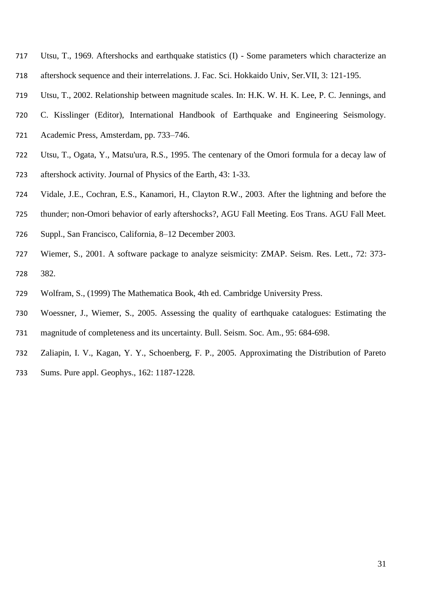- Utsu, T., 1969. Aftershocks and earthquake statistics (I) Some parameters which characterize an
- aftershock sequence and their interrelations. J. Fac. Sci. Hokkaido Univ, Ser.VII, 3: 121-195.
- Utsu, T., 2002. Relationship between magnitude scales. In: H.K. W. H. K. Lee, P. C. Jennings, and
- C. Kisslinger (Editor), International Handbook of Earthquake and Engineering Seismology.
- Academic Press, Amsterdam, pp. 733–746.
- Utsu, T., Ogata, Y., Matsu'ura, R.S., 1995. The centenary of the Omori formula for a decay law of aftershock activity. Journal of Physics of the Earth, 43: 1-33.
- Vidale, J.E., Cochran, E.S., Kanamori, H., Clayton R.W., 2003. After the lightning and before the
- thunder; non-Omori behavior of early aftershocks?, AGU Fall Meeting. Eos Trans. AGU Fall Meet.
- Suppl., San Francisco, California, 8–12 December 2003.
- Wiemer, S., 2001. A software package to analyze seismicity: ZMAP. Seism. Res. Lett., 72: 373- 382.
- Wolfram, S., (1999) The Mathematica Book, 4th ed. Cambridge University Press.
- Woessner, J., Wiemer, S., 2005. Assessing the quality of earthquake catalogues: Estimating the magnitude of completeness and its uncertainty. Bull. Seism. Soc. Am., 95: 684-698.
- Zaliapin, I. V., Kagan, Y. Y., Schoenberg, F. P., 2005. Approximating the Distribution of Pareto
- Sums. Pure appl. Geophys., 162: 1187-1228.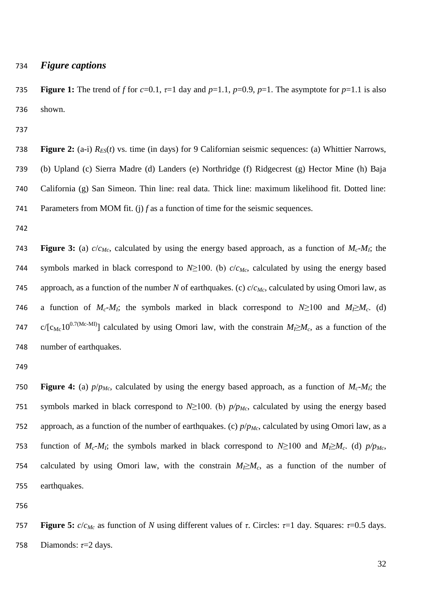#### *Figure captions*

**Figure 1:** The trend of *f* for  $c=0.1$ ,  $\tau=1$  day and  $p=1.1$ ,  $p=0.9$ ,  $p=1$ . The asymptote for  $p=1.1$  is also shown.

**Figure 2:** (a-i)  $R_{ES}(t)$  vs. time (in days) for 9 Californian seismic sequences: (a) Whittier Narrows, (b) Upland (c) Sierra Madre (d) Landers (e) Northridge (f) Ridgecrest (g) Hector Mine (h) Baja California (g) San Simeon. Thin line: real data. Thick line: maximum likelihood fit. Dotted line: Parameters from MOM fit. (j) *f* as a function of time for the seismic sequences.

**Figure 3:** (a)  $c/c_{Mc}$ , calculated by using the energy based approach, as a function of  $M_c$ - $M_l$ ; the symbols marked in black correspond to *N*≥100. (b) *c*/*cMc*, calculated by using the energy based approach, as a function of the number *N* of earthquakes. (c) *c*/*cMc*, calculated by using Omori law, as 746 a function of  $M_c$ - $M_I$ ; the symbols marked in black correspond to  $N \ge 100$  and  $M_I \ge M_c$ . (d) 747 c/[ $c_{\text{Mc}}10^{0.7(\text{Mc-MI})}$ ] calculated by using Omori law, with the constrain  $M_1 \geq M_c$ , as a function of the number of earthquakes.

**750 • Figure 4:** (a)  $p/p_{Mc}$ , calculated by using the energy based approach, as a function of  $M_c$ - $M_t$ ; the symbols marked in black correspond to *N*≥100. (b) *p/pMc*, calculated by using the energy based approach, as a function of the number of earthquakes. (c) *p*/*pMc*, calculated by using Omori law, as a 753 function of  $M_c$ - $M_l$ ; the symbols marked in black correspond to  $N \ge 100$  and  $M_l \ge M_c$ . (d)  $p/p_{Mc}$ , 754 calculated by using Omori law, with the constrain  $M_1 \geq M_c$ , as a function of the number of earthquakes.

**Figure 5:**  $c/c_{Mc}$  as function of *N* using different values of *τ*. Circles:  $τ=1$  day. Squares:  $τ=0.5$  days. Diamonds: *τ*=2 days.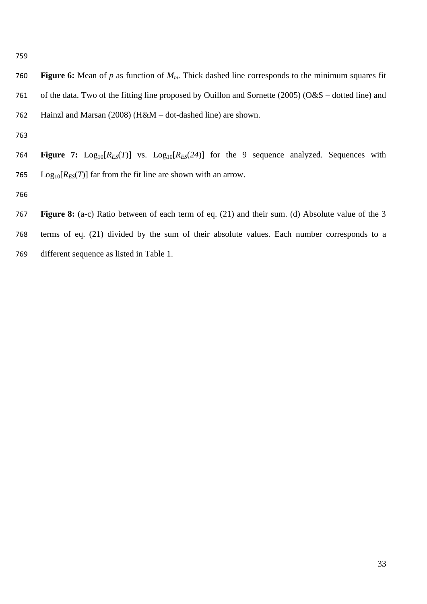**Figure 6:** Mean of *p* as function of *Mm*. Thick dashed line corresponds to the minimum squares fit of the data. Two of the fitting line proposed by Ouillon and Sornette (2005) (O&S – dotted line) and Hainzl and Marsan (2008) (H&M – dot-dashed line) are shown.

764 **Figure 7:**  $Log_{10}[R_{ES}(T)]$  vs.  $Log_{10}[R_{ES}(24)]$  for the 9 sequence analyzed. Sequences with 765 Log<sub>10</sub> $[R_{ES}(T)]$  far from the fit line are shown with an arrow.

- 
- **Figure 8:** (a-c) Ratio between of each term of eq. (21) and their sum. (d) Absolute value of the 3 terms of eq. (21) divided by the sum of their absolute values. Each number corresponds to a different sequence as listed in Table 1.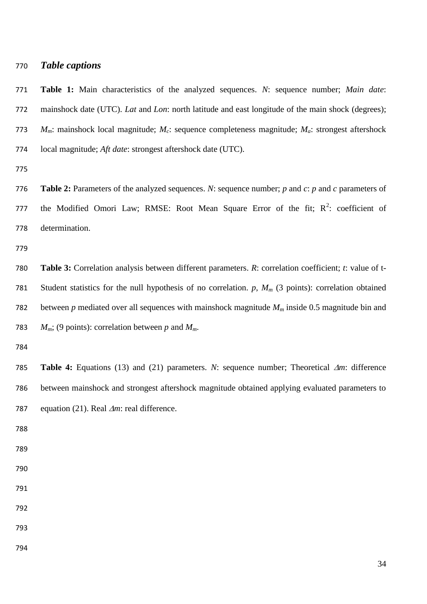#### *Table captions*

 **Table 1:** Main characteristics of the analyzed sequences. *N*: sequence number; *Main date*: mainshock date (UTC). *Lat* and *Lon*: north latitude and east longitude of the main shock (degrees); *Mm*: mainshock local magnitude; *Mc*: sequence completeness magnitude; *Ma*: strongest aftershock local magnitude; *Aft date*: strongest aftershock date (UTC).

 **Table 2:** Parameters of the analyzed sequences. *N*: sequence number; *p* and *c*: *p* and *c* parameters of 777 the Modified Omori Law; RMSE: Root Mean Square Error of the fit;  $R^2$ : coefficient of determination.

 **Table 3:** Correlation analysis between different parameters. *R*: correlation coefficient; *t*: value of t- Student statistics for the null hypothesis of no correlation. *p*, *M<sup>m</sup>* (3 points): correlation obtained between *p* mediated over all sequences with mainshock magnitude *M<sup>m</sup>* inside 0.5 magnitude bin and  $M_m$ ; (9 points): correlation between p and  $M_m$ .

 **Table 4:** Equations (13) and (21) parameters. *N*: sequence number; Theoretical *m*: difference between mainshock and strongest aftershock magnitude obtained applying evaluated parameters to 787 equation (21). Real  $\Delta m$ : real difference.

- 
- 
- 
- 
- 
- 
- 
- 
-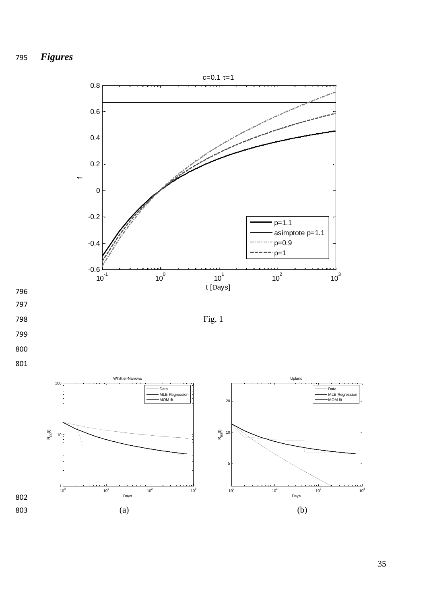

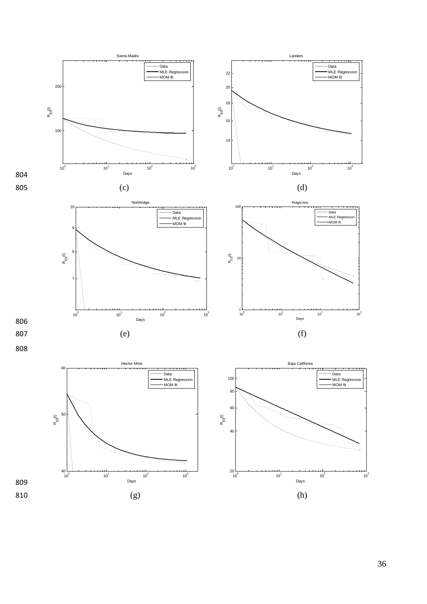

36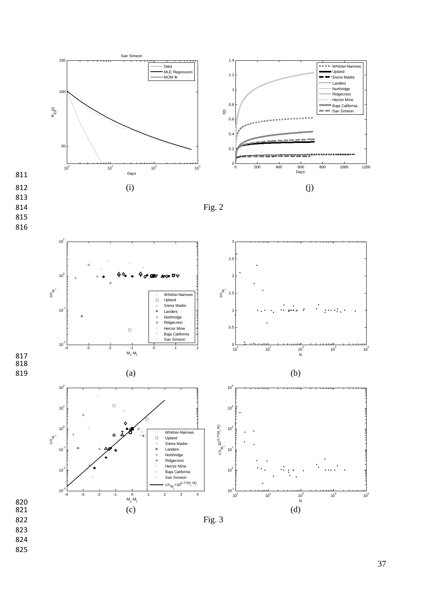

- 824
- 825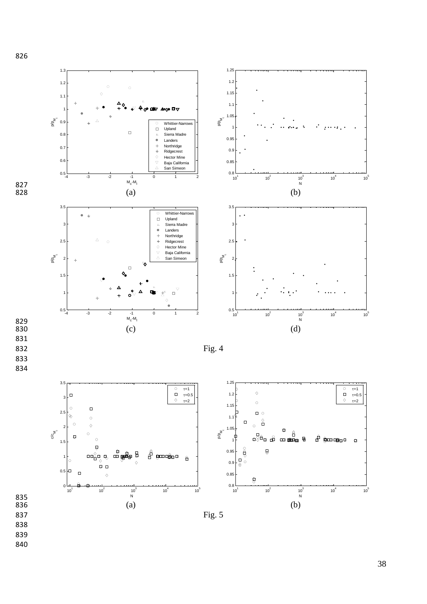

826

38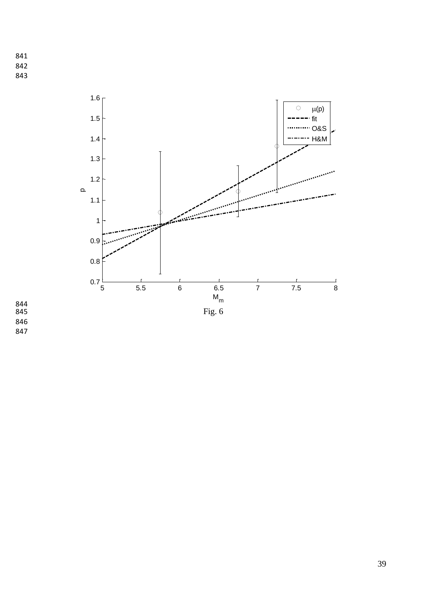- 841 842
- 843



844<br>845 846 847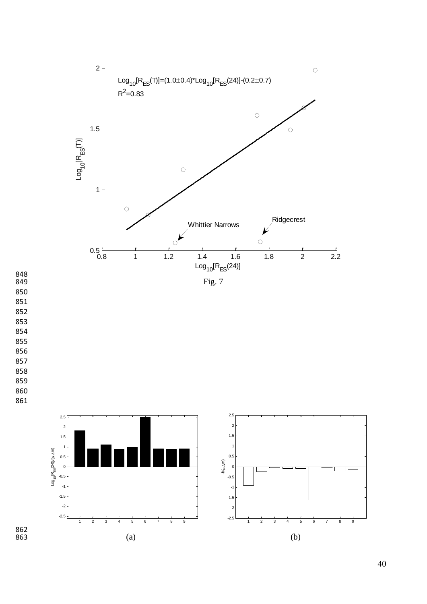

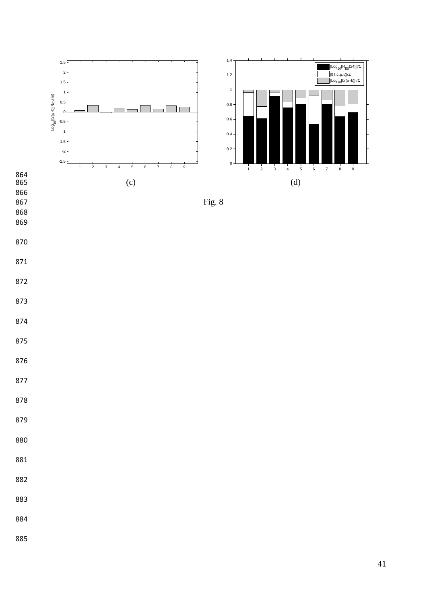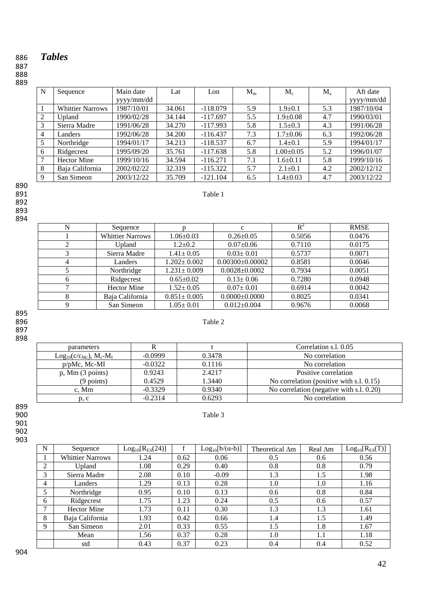# *Tables*

#### 

## 

| N | Sequence                | Main date  | Lat    | Lon        | $M_m$ | $\mathbf{M}_{\rm c}$ | $M_{\rm a}$ | Aft date   |
|---|-------------------------|------------|--------|------------|-------|----------------------|-------------|------------|
|   |                         | yyyy/mm/dd |        |            |       |                      |             | yyyy/mm/dd |
|   | <b>Whittier Narrows</b> | 1987/10/01 | 34.061 | $-118.079$ | 5.9   | $1.9 \pm 0.1$        | 5.3         | 1987/10/04 |
| 2 | Upland                  | 1990/02/28 | 34.144 | $-117.697$ | 5.5   | $1.9 \pm 0.08$       | 4.7         | 1990/03/01 |
| 3 | Sierra Madre            | 1991/06/28 | 34.270 | $-117.993$ | 5.8   | $1.5 \pm 0.3$        | 4.3         | 1991/06/28 |
| 4 | Landers                 | 1992/06/28 | 34.200 | $-116.437$ | 7.3   | $1.7 \pm 0.06$       | 6.3         | 1992/06/28 |
| 5 | Northridge              | 1994/01/17 | 34.213 | $-118.537$ | 6.7   | $1.4 \pm 0.1$        | 5.9         | 1994/01/17 |
| 6 | Ridgecrest              | 1995/09/20 | 35.761 | $-117.638$ | 5.8   | $1.00 \pm 0.05$      | 5.2         | 1996/01/07 |
| 7 | <b>Hector Mine</b>      | 1999/10/16 | 34.594 | $-116.271$ | 7.1   | $1.6 \pm 0.11$       | 5.8         | 1999/10/16 |
| 8 | Baja California         | 2002/02/22 | 32.319 | $-115.322$ | 5.7   | $2.1 \pm 0.1$        | 4.2         | 2002/12/12 |
| 9 | San Simeon              | 2003/12/22 | 35.709 | $-121.104$ | 6.5   | $1.4 \pm 0.03$       | 4.7         | 2003/12/22 |

Table 1

890<br>891 

 

| Sequence                |                   | c                   | $R^2$  | <b>RMSE</b> |
|-------------------------|-------------------|---------------------|--------|-------------|
| <b>Whittier Narrows</b> | $1.06 \pm 0.03$   | $0.26 \pm 0.05$     | 0.5056 | 0.0476      |
| Upland                  | $1.2 \pm 0.2$     | $0.07 \pm 0.06$     | 0.7110 | 0.0175      |
| Sierra Madre            | $1.41 \pm 0.05$   | $0.03 \pm 0.01$     | 0.5737 | 0.0071      |
| Landers                 | $1.202 \pm 0.002$ | $0.00300\pm0.00002$ | 0.8581 | 0.0046      |
| Northridge              | $1.231 \pm 0.009$ | $0.0028 \pm 0.0002$ | 0.7934 | 0.0051      |
| Ridgecrest              | $0.65 \pm 0.02$   | $0.13 \pm 0.06$     | 0.7280 | 0.0948      |
| <b>Hector Mine</b>      | $1.52 \pm 0.05$   | $0.07 \pm 0.01$     | 0.6914 | 0.0042      |
| Baja California         | $0.851 \pm 0.005$ | $0.0000 \pm 0.0000$ | 0.8025 | 0.0341      |
| San Simeon              | $1.05 \pm 0.01$   | $0.012 \pm 0.004$   | 0.9676 | 0.0068      |

#### **Table 2** Table 2

| parameters                    |           |        | Correlation s.l. 0.05                    |
|-------------------------------|-----------|--------|------------------------------------------|
| $Log_{10}(c/c_{Mc}), M_c-M_I$ | $-0.0999$ | 0.3478 | No correlation                           |
| $p/pMc$ , Mc-MI               | $-0.0322$ | 0.1116 | No correlation                           |
| $p$ , Mm $(3 \text{ points})$ | 0.9243    | 2.4217 | Positive correlation                     |
| $(9$ points)                  | 0.4529    | 1.3440 | No correlation (positive with s.l. 0.15) |
| c. Mm                         | $-0.3329$ | 0.9340 | No correlation (negative with s.l. 0.20) |
| p, c                          | $-0.2314$ | 0.6293 | No correlation                           |

899<br>900 900 Table 3

 

 

| N | Sequence                | $Log_{10}[R_{ES}(24)]$ |      | $Log_{10}[b/(\alpha-b)]$ | Theoretical $\Delta m$ | Real ∆m | $Log_{10}[R_{ES}(T)]$ |
|---|-------------------------|------------------------|------|--------------------------|------------------------|---------|-----------------------|
|   | <b>Whittier Narrows</b> | 1.24                   | 0.62 | 0.06                     | 0.5                    | 0.6     | 0.56                  |
| 2 | Upland                  | 1.08                   | 0.29 | 0.40                     | 0.8                    | 0.8     | 0.79                  |
| 3 | Sierra Madre            | 2.08                   | 0.10 | $-0.09$                  | 1.3                    | 1.5     | 1.98                  |
| 4 | Landers                 | 1.29                   | 0.13 | 0.28                     | 1.0                    | 1.0     | 1.16                  |
|   | Northridge              | 0.95                   | 0.10 | 0.13                     | 0.6                    | 0.8     | 0.84                  |
| 6 | Ridgecrest              | 1.75                   | 1.23 | 0.24                     | 0.5                    | 0.6     | 0.57                  |
|   | <b>Hector Mine</b>      | 1.73                   | 0.11 | 0.30                     | 1.3                    | 1.3     | 1.61                  |
| 8 | Baja California         | 1.93                   | 0.42 | 0.66                     | 1.4                    | 1.5     | 1.49                  |
| 9 | San Simeon              | 2.01                   | 0.33 | 0.55                     | 1.5                    | 1.8     | 1.67                  |
|   | Mean                    | 1.56                   | 0.37 | 0.28                     | 1.0                    | 1.1     | 1.18                  |
|   | std                     | 0.43                   | 0.37 | 0.23                     | 0.4                    | 0.4     | 0.52                  |